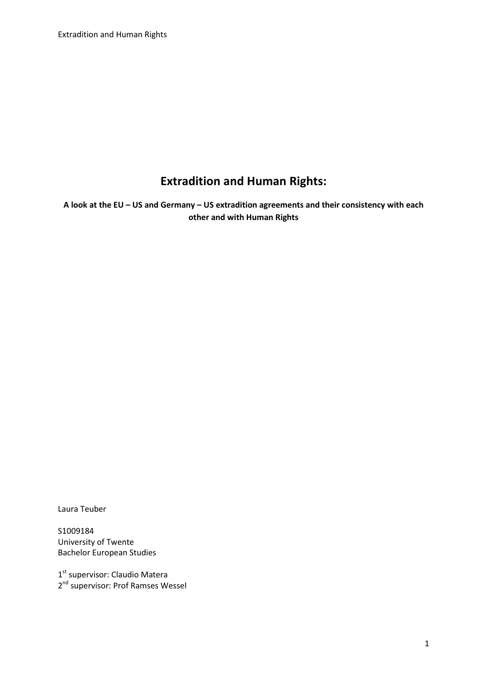Extradition and Human Rights

# Extradition and Human Rights:

A look at the EU – US and Germany – US extradition agreements and their consistency with each other and with Human Rights

Laura Teuber

S1009184 University of Twente Bachelor European Studies

1<sup>st</sup> supervisor: Claudio Matera 2<sup>nd</sup> supervisor: Prof Ramses Wessel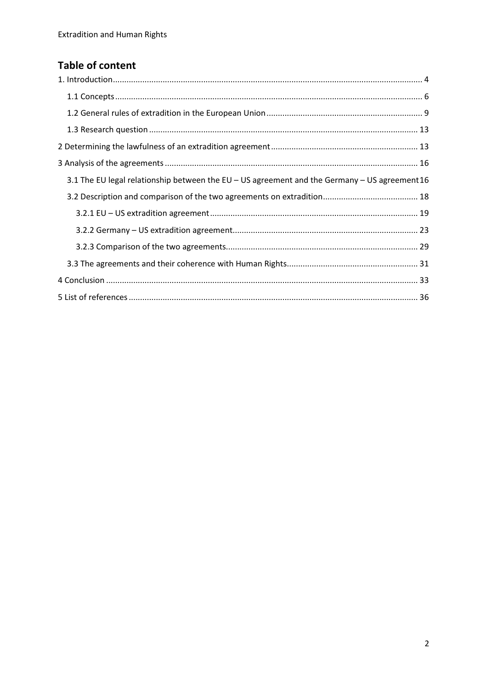# **Table of content**

| 3.1 The EU legal relationship between the EU – US agreement and the Germany – US agreement 16 |
|-----------------------------------------------------------------------------------------------|
|                                                                                               |
|                                                                                               |
|                                                                                               |
|                                                                                               |
|                                                                                               |
|                                                                                               |
|                                                                                               |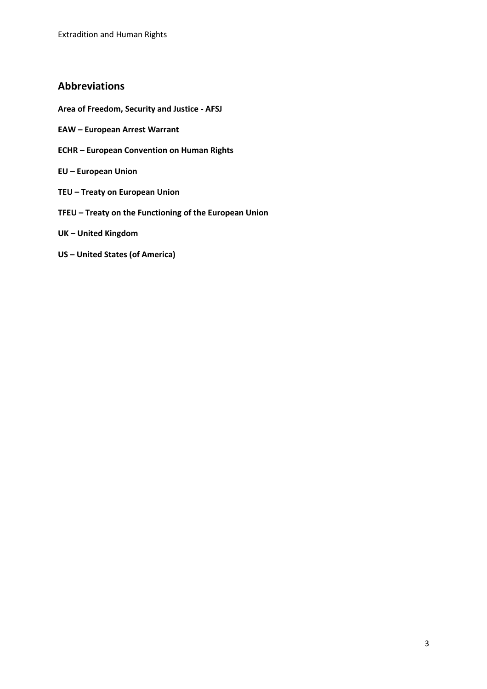### Abbreviations

- Area of Freedom, Security and Justice AFSJ
- EAW European Arrest Warrant
- ECHR European Convention on Human Rights
- EU European Union
- TEU Treaty on European Union
- TFEU Treaty on the Functioning of the European Union
- UK United Kingdom
- US United States (of America)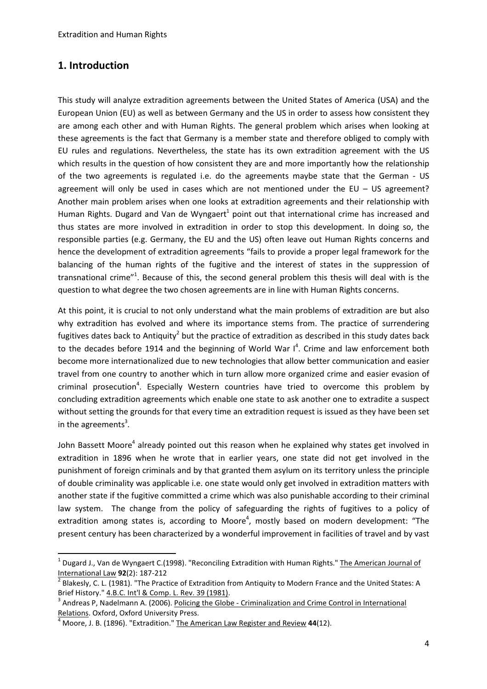### 1. Introduction

l

This study will analyze extradition agreements between the United States of America (USA) and the European Union (EU) as well as between Germany and the US in order to assess how consistent they are among each other and with Human Rights. The general problem which arises when looking at these agreements is the fact that Germany is a member state and therefore obliged to comply with EU rules and regulations. Nevertheless, the state has its own extradition agreement with the US which results in the question of how consistent they are and more importantly how the relationship of the two agreements is regulated i.e. do the agreements maybe state that the German - US agreement will only be used in cases which are not mentioned under the EU – US agreement? Another main problem arises when one looks at extradition agreements and their relationship with Human Rights. Dugard and Van de Wyngaert<sup>1</sup> point out that international crime has increased and thus states are more involved in extradition in order to stop this development. In doing so, the responsible parties (e.g. Germany, the EU and the US) often leave out Human Rights concerns and hence the development of extradition agreements "fails to provide a proper legal framework for the balancing of the human rights of the fugitive and the interest of states in the suppression of transnational crime"<sup>1</sup>. Because of this, the second general problem this thesis will deal with is the question to what degree the two chosen agreements are in line with Human Rights concerns.

At this point, it is crucial to not only understand what the main problems of extradition are but also why extradition has evolved and where its importance stems from. The practice of surrendering fugitives dates back to Antiquity<sup>2</sup> but the practice of extradition as described in this study dates back to the decades before 1914 and the beginning of World War  $I^4$ . Crime and law enforcement both become more internationalized due to new technologies that allow better communication and easier travel from one country to another which in turn allow more organized crime and easier evasion of criminal prosecution<sup>4</sup>. Especially Western countries have tried to overcome this problem by concluding extradition agreements which enable one state to ask another one to extradite a suspect without setting the grounds for that every time an extradition request is issued as they have been set in the agreements<sup>3</sup>.

John Bassett Moore<sup>4</sup> already pointed out this reason when he explained why states get involved in extradition in 1896 when he wrote that in earlier years, one state did not get involved in the punishment of foreign criminals and by that granted them asylum on its territory unless the principle of double criminality was applicable i.e. one state would only get involved in extradition matters with another state if the fugitive committed a crime which was also punishable according to their criminal law system. The change from the policy of safeguarding the rights of fugitives to a policy of extradition among states is, according to Moore<sup>4</sup>, mostly based on modern development: "The present century has been characterized by a wonderful improvement in facilities of travel and by vast

<sup>&</sup>lt;sup>1</sup> Dugard J., Van de Wyngaert C.(1998). "Reconciling Extradition with Human Rights." <u>The American Journal of</u> International Law 92(2): 187-212

Blakesly, C. L. (1981). "The Practice of Extradition from Antiquity to Modern France and the United States: A Brief History." 4.B.C. Int'l & Comp. L. Rev. 39 (1981).

<sup>&</sup>lt;sup>3</sup> Andreas P, Nadelmann A. (2006). Policing the Globe - Criminalization and Crime Control in International Relations. Oxford, Oxford University Press.

Moore, J. B. (1896). "Extradition." The American Law Register and Review 44(12).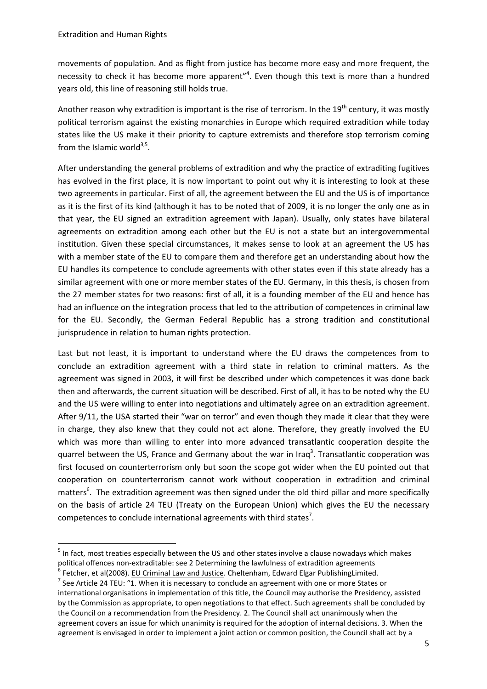movements of population. And as flight from justice has become more easy and more frequent, the necessity to check it has become more apparent"<sup>4</sup>. Even though this text is more than a hundred years old, this line of reasoning still holds true.

Another reason why extradition is important is the rise of terrorism. In the  $19<sup>th</sup>$  century, it was mostly political terrorism against the existing monarchies in Europe which required extradition while today states like the US make it their priority to capture extremists and therefore stop terrorism coming from the Islamic world $3,5$ .

After understanding the general problems of extradition and why the practice of extraditing fugitives has evolved in the first place, it is now important to point out why it is interesting to look at these two agreements in particular. First of all, the agreement between the EU and the US is of importance as it is the first of its kind (although it has to be noted that of 2009, it is no longer the only one as in that year, the EU signed an extradition agreement with Japan). Usually, only states have bilateral agreements on extradition among each other but the EU is not a state but an intergovernmental institution. Given these special circumstances, it makes sense to look at an agreement the US has with a member state of the EU to compare them and therefore get an understanding about how the EU handles its competence to conclude agreements with other states even if this state already has a similar agreement with one or more member states of the EU. Germany, in this thesis, is chosen from the 27 member states for two reasons: first of all, it is a founding member of the EU and hence has had an influence on the integration process that led to the attribution of competences in criminal law for the EU. Secondly, the German Federal Republic has a strong tradition and constitutional jurisprudence in relation to human rights protection.

Last but not least, it is important to understand where the EU draws the competences from to conclude an extradition agreement with a third state in relation to criminal matters. As the agreement was signed in 2003, it will first be described under which competences it was done back then and afterwards, the current situation will be described. First of all, it has to be noted why the EU and the US were willing to enter into negotiations and ultimately agree on an extradition agreement. After 9/11, the USA started their "war on terror" and even though they made it clear that they were in charge, they also knew that they could not act alone. Therefore, they greatly involved the EU which was more than willing to enter into more advanced transatlantic cooperation despite the quarrel between the US, France and Germany about the war in Iraq<sup>3</sup>. Transatlantic cooperation was first focused on counterterrorism only but soon the scope got wider when the EU pointed out that cooperation on counterterrorism cannot work without cooperation in extradition and criminal matters<sup>6</sup>. The extradition agreement was then signed under the old third pillar and more specifically on the basis of article 24 TEU (Treaty on the European Union) which gives the EU the necessary competences to conclude international agreements with third states<sup>7</sup>.

 $<sup>5</sup>$  In fact, most treaties especially between the US and other states involve a clause nowadays which makes</sup> political offences non-extraditable: see 2 Determining the lawfulness of extradition agreements

<sup>&</sup>lt;sup>6</sup> Fetcher, et al(2008). EU Criminal Law and Justice. Cheltenham, Edward Elgar PublishingLimited.

<sup>&</sup>lt;sup>7</sup> See Article 24 TEU: "1. When it is necessary to conclude an agreement with one or more States or international organisations in implementation of this title, the Council may authorise the Presidency, assisted by the Commission as appropriate, to open negotiations to that effect. Such agreements shall be concluded by the Council on a recommendation from the Presidency. 2. The Council shall act unanimously when the agreement covers an issue for which unanimity is required for the adoption of internal decisions. 3. When the agreement is envisaged in order to implement a joint action or common position, the Council shall act by a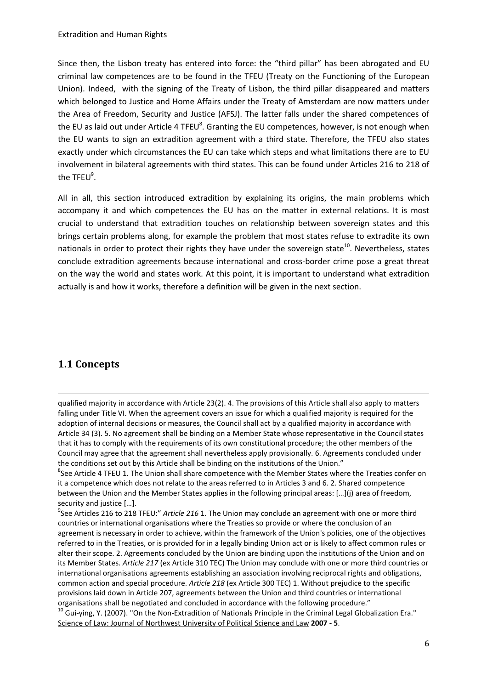Since then, the Lisbon treaty has entered into force: the "third pillar" has been abrogated and EU criminal law competences are to be found in the TFEU (Treaty on the Functioning of the European Union). Indeed, with the signing of the Treaty of Lisbon, the third pillar disappeared and matters which belonged to Justice and Home Affairs under the Treaty of Amsterdam are now matters under the Area of Freedom, Security and Justice (AFSJ). The latter falls under the shared competences of the EU as laid out under Article 4 TFEU<sup>8</sup>. Granting the EU competences, however, is not enough when the EU wants to sign an extradition agreement with a third state. Therefore, the TFEU also states exactly under which circumstances the EU can take which steps and what limitations there are to EU involvement in bilateral agreements with third states. This can be found under Articles 216 to 218 of the TFEU $^9$ .

All in all, this section introduced extradition by explaining its origins, the main problems which accompany it and which competences the EU has on the matter in external relations. It is most crucial to understand that extradition touches on relationship between sovereign states and this brings certain problems along, for example the problem that most states refuse to extradite its own nationals in order to protect their rights they have under the sovereign state<sup>10</sup>. Nevertheless, states conclude extradition agreements because international and cross-border crime pose a great threat on the way the world and states work. At this point, it is important to understand what extradition actually is and how it works, therefore a definition will be given in the next section.

### 1.1 Concepts

.<br>-

qualified majority in accordance with Article 23(2). 4. The provisions of this Article shall also apply to matters falling under Title VI. When the agreement covers an issue for which a qualified majority is required for the adoption of internal decisions or measures, the Council shall act by a qualified majority in accordance with Article 34 (3). 5. No agreement shall be binding on a Member State whose representative in the Council states that it has to comply with the requirements of its own constitutional procedure; the other members of the Council may agree that the agreement shall nevertheless apply provisionally. 6. Agreements concluded under the conditions set out by this Article shall be binding on the institutions of the Union."

<sup>&</sup>lt;sup>8</sup>See Article 4 TFEU 1. The Union shall share competence with the Member States where the Treaties confer on it a competence which does not relate to the areas referred to in Articles 3 and 6. 2. Shared competence between the Union and the Member States applies in the following principal areas: […](j) area of freedom, security and justice […].

<sup>&</sup>lt;sup>9</sup>See Articles 216 to 218 TFEU:" Article 216 1. The Union may conclude an agreement with one or more third countries or international organisations where the Treaties so provide or where the conclusion of an agreement is necessary in order to achieve, within the framework of the Union's policies, one of the objectives referred to in the Treaties, or is provided for in a legally binding Union act or is likely to affect common rules or alter their scope. 2. Agreements concluded by the Union are binding upon the institutions of the Union and on its Member States. Article 217 (ex Article 310 TEC) The Union may conclude with one or more third countries or international organisations agreements establishing an association involving reciprocal rights and obligations, common action and special procedure. Article 218 (ex Article 300 TEC) 1. Without prejudice to the specific provisions laid down in Article 207, agreements between the Union and third countries or international organisations shall be negotiated and concluded in accordance with the following procedure."  $10$  Gui-ying, Y. (2007). "On the Non-Extradition of Nationals Principle in the Criminal Legal Globalization Era." Science of Law: Journal of Northwest University of Political Science and Law 2007 - 5.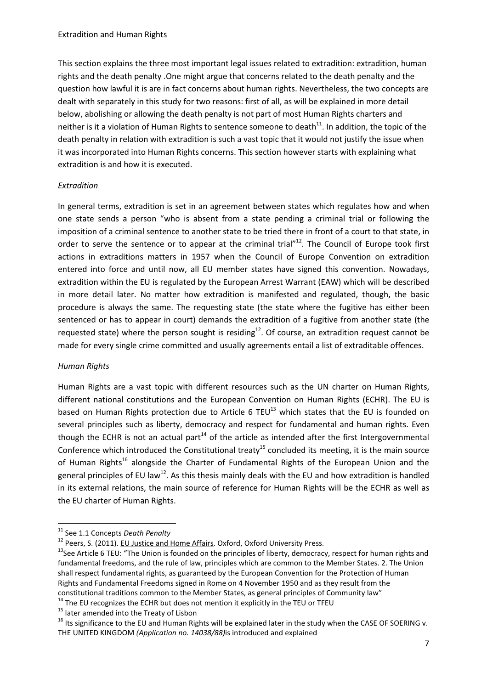This section explains the three most important legal issues related to extradition: extradition, human rights and the death penalty .One might argue that concerns related to the death penalty and the question how lawful it is are in fact concerns about human rights. Nevertheless, the two concepts are dealt with separately in this study for two reasons: first of all, as will be explained in more detail below, abolishing or allowing the death penalty is not part of most Human Rights charters and neither is it a violation of Human Rights to sentence someone to death $^{11}$ . In addition, the topic of the death penalty in relation with extradition is such a vast topic that it would not justify the issue when it was incorporated into Human Rights concerns. This section however starts with explaining what extradition is and how it is executed.

#### Extradition

In general terms, extradition is set in an agreement between states which regulates how and when one state sends a person "who is absent from a state pending a criminal trial or following the imposition of a criminal sentence to another state to be tried there in front of a court to that state, in order to serve the sentence or to appear at the criminal trial" $^{12}$ . The Council of Europe took first actions in extraditions matters in 1957 when the Council of Europe Convention on extradition entered into force and until now, all EU member states have signed this convention. Nowadays, extradition within the EU is regulated by the European Arrest Warrant (EAW) which will be described in more detail later. No matter how extradition is manifested and regulated, though, the basic procedure is always the same. The requesting state (the state where the fugitive has either been sentenced or has to appear in court) demands the extradition of a fugitive from another state (the requested state) where the person sought is residing $^{12}$ . Of course, an extradition request cannot be made for every single crime committed and usually agreements entail a list of extraditable offences.

#### Human Rights

 $\overline{a}$ 

Human Rights are a vast topic with different resources such as the UN charter on Human Rights, different national constitutions and the European Convention on Human Rights (ECHR). The EU is based on Human Rights protection due to Article 6 TEU $^{13}$  which states that the EU is founded on several principles such as liberty, democracy and respect for fundamental and human rights. Even though the ECHR is not an actual part<sup>14</sup> of the article as intended after the first Intergovernmental Conference which introduced the Constitutional treaty<sup>15</sup> concluded its meeting, it is the main source of Human Rights<sup>16</sup> alongside the Charter of Fundamental Rights of the European Union and the general principles of EU law<sup>12</sup>. As this thesis mainly deals with the EU and how extradition is handled in its external relations, the main source of reference for Human Rights will be the ECHR as well as the EU charter of Human Rights.

 $11$  See 1.1 Concepts Death Penalty

<sup>&</sup>lt;sup>12</sup> Peers, S. (2011). EU Justice and Home Affairs. Oxford, Oxford University Press.

<sup>&</sup>lt;sup>13</sup>See Article 6 TEU: "The Union is founded on the principles of liberty, democracy, respect for human rights and fundamental freedoms, and the rule of law, principles which are common to the Member States. 2. The Union shall respect fundamental rights, as guaranteed by the European Convention for the Protection of Human Rights and Fundamental Freedoms signed in Rome on 4 November 1950 and as they result from the constitutional traditions common to the Member States, as general principles of Community law"

 $14$  The EU recognizes the ECHR but does not mention it explicitly in the TEU or TFEU

<sup>&</sup>lt;sup>15</sup> later amended into the Treaty of Lisbon

 $16$  Its significance to the EU and Human Rights will be explained later in the study when the CASE OF SOERING v. THE UNITED KINGDOM (Application no. 14038/88)is introduced and explained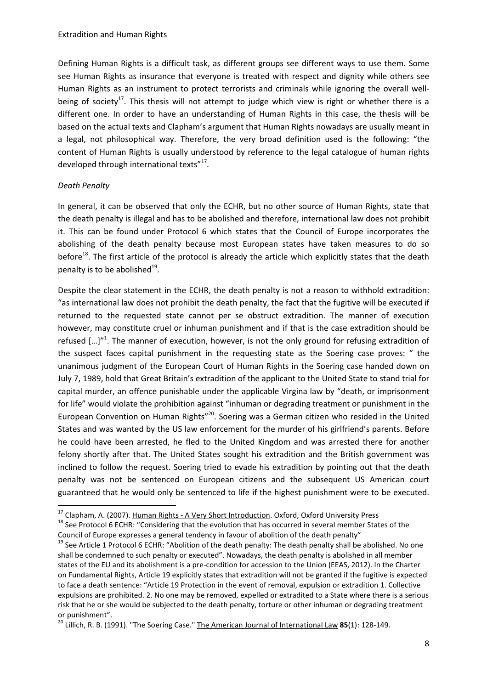Defining Human Rights is a difficult task, as different groups see different ways to use them. Some see Human Rights as insurance that everyone is treated with respect and dignity while others see Human Rights as an instrument to protect terrorists and criminals while ignoring the overall wellbeing of society<sup>17</sup>. This thesis will not attempt to judge which view is right or whether there is a different one. In order to have an understanding of Human Rights in this case, the thesis will be based on the actual texts and Clapham's argument that Human Rights nowadays are usually meant in a legal, not philosophical way. Therefore, the very broad definition used is the following: "the content of Human Rights is usually understood by reference to the legal catalogue of human rights developed through international texts"<sup>17</sup>.

#### Death Penalty

In general, it can be observed that only the ECHR, but no other source of Human Rights, state that the death penalty is illegal and has to be abolished and therefore, international law does not prohibit it. This can be found under Protocol 6 which states that the Council of Europe incorporates the abolishing of the death penalty because most European states have taken measures to do so before $^{18}$ . The first article of the protocol is already the article which explicitly states that the death penalty is to be abolished $^{19}$ .

Despite the clear statement in the ECHR, the death penalty is not a reason to withhold extradition: "as international law does not prohibit the death penalty, the fact that the fugitive will be executed if returned to the requested state cannot per se obstruct extradition. The manner of execution however, may constitute cruel or inhuman punishment and if that is the case extradition should be refused  $\left[...\right]^{n}$ . The manner of execution, however, is not the only ground for refusing extradition of the suspect faces capital punishment in the requesting state as the Soering case proves: " the unanimous judgment of the European Court of Human Rights in the Soering case handed down on July 7, 1989, hold that Great Britain's extradition of the applicant to the United State to stand trial for capital murder, an offence punishable under the applicable Virgina law by "death, or imprisonment for life" would violate the prohibition against "inhuman or degrading treatment or punishment in the European Convention on Human Rights"<sup>20</sup>. Soering was a German citizen who resided in the United States and was wanted by the US law enforcement for the murder of his girlfriend's parents. Before he could have been arrested, he fled to the United Kingdom and was arrested there for another felony shortly after that. The United States sought his extradition and the British government was inclined to follow the request. Soering tried to evade his extradition by pointing out that the death penalty was not be sentenced on European citizens and the subsequent US American court guaranteed that he would only be sentenced to life if the highest punishment were to be executed.

<sup>&</sup>lt;sup>17</sup> Clapham, A. (2007). Human Rights - A Very Short Introduction. Oxford, Oxford University Press

<sup>&</sup>lt;sup>18</sup> See Protocol 6 ECHR: "Considering that the evolution that has occurred in several member States of the Council of Europe expresses a general tendency in favour of abolition of the death penalty"

<sup>&</sup>lt;sup>19</sup> See Article 1 Protocol 6 ECHR: "Abolition of the death penalty: The death penalty shall be abolished. No one shall be condemned to such penalty or executed". Nowadays, the death penalty is abolished in all member states of the EU and its abolishment is a pre-condition for accession to the Union (EEAS, 2012). In the Charter on Fundamental Rights, Article 19 explicitly states that extradition will not be granted if the fugitive is expected to face a death sentence: "Article 19 Protection in the event of removal, expulsion or extradition 1. Collective expulsions are prohibited. 2. No one may be removed, expelled or extradited to a State where there is a serious risk that he or she would be subjected to the death penalty, torture or other inhuman or degrading treatment or punishment".

<sup>&</sup>lt;sup>20</sup> Lillich, R. B. (1991). "The Soering Case." The American Journal of International Law 85(1): 128-149.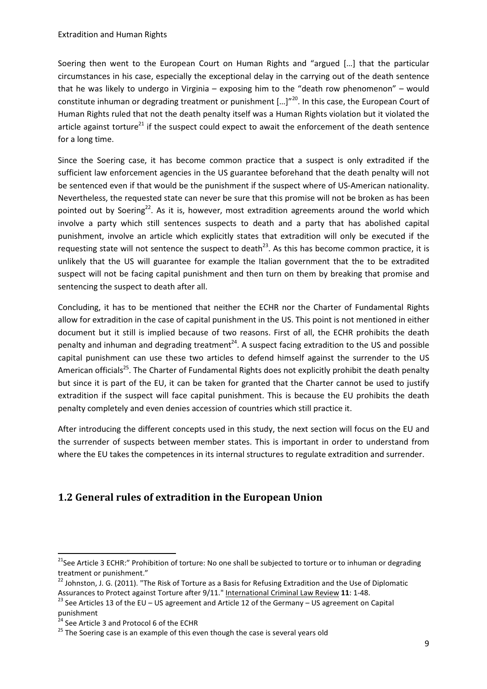Soering then went to the European Court on Human Rights and "argued […] that the particular circumstances in his case, especially the exceptional delay in the carrying out of the death sentence that he was likely to undergo in Virginia – exposing him to the "death row phenomenon" – would constitute inhuman or degrading treatment or punishment [...]"<sup>20</sup>. In this case, the European Court of Human Rights ruled that not the death penalty itself was a Human Rights violation but it violated the article against torture<sup>21</sup> if the suspect could expect to await the enforcement of the death sentence for a long time.

Since the Soering case, it has become common practice that a suspect is only extradited if the sufficient law enforcement agencies in the US guarantee beforehand that the death penalty will not be sentenced even if that would be the punishment if the suspect where of US-American nationality. Nevertheless, the requested state can never be sure that this promise will not be broken as has been pointed out by Soering<sup>22</sup>. As it is, however, most extradition agreements around the world which involve a party which still sentences suspects to death and a party that has abolished capital punishment, involve an article which explicitly states that extradition will only be executed if the requesting state will not sentence the suspect to death<sup>23</sup>. As this has become common practice, it is unlikely that the US will guarantee for example the Italian government that the to be extradited suspect will not be facing capital punishment and then turn on them by breaking that promise and sentencing the suspect to death after all.

Concluding, it has to be mentioned that neither the ECHR nor the Charter of Fundamental Rights allow for extradition in the case of capital punishment in the US. This point is not mentioned in either document but it still is implied because of two reasons. First of all, the ECHR prohibits the death penalty and inhuman and degrading treatment<sup>24</sup>. A suspect facing extradition to the US and possible capital punishment can use these two articles to defend himself against the surrender to the US American officials<sup>25</sup>. The Charter of Fundamental Rights does not explicitly prohibit the death penalty but since it is part of the EU, it can be taken for granted that the Charter cannot be used to justify extradition if the suspect will face capital punishment. This is because the EU prohibits the death penalty completely and even denies accession of countries which still practice it.

After introducing the different concepts used in this study, the next section will focus on the EU and the surrender of suspects between member states. This is important in order to understand from where the EU takes the competences in its internal structures to regulate extradition and surrender.

### 1.2 General rules of extradition in the European Union

l

<sup>&</sup>lt;sup>21</sup>See Article 3 ECHR:" Prohibition of torture: No one shall be subjected to torture or to inhuman or degrading treatment or punishment."

<sup>&</sup>lt;sup>22</sup> Johnston, J. G. (2011). "The Risk of Torture as a Basis for Refusing Extradition and the Use of Diplomatic Assurances to Protect against Torture after 9/11." International Criminal Law Review 11: 1-48.

<sup>&</sup>lt;sup>23</sup> See Articles 13 of the EU – US agreement and Article 12 of the Germany – US agreement on Capital punishment

 $^{24}$  See Article 3 and Protocol 6 of the ECHR

 $25$  The Soering case is an example of this even though the case is several years old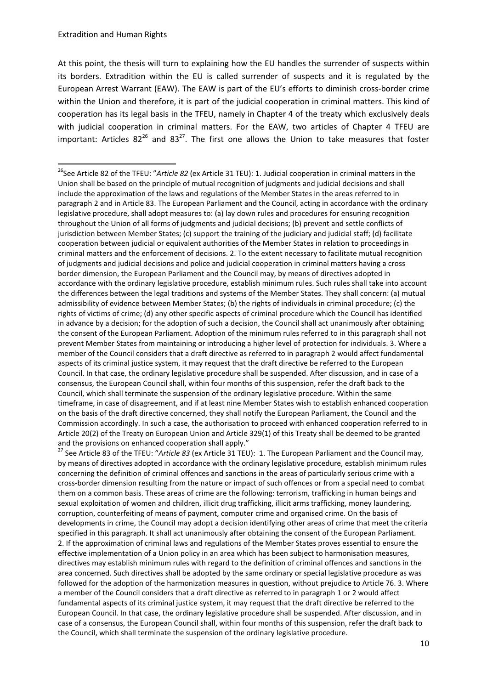At this point, the thesis will turn to explaining how the EU handles the surrender of suspects within its borders. Extradition within the EU is called surrender of suspects and it is regulated by the European Arrest Warrant (EAW). The EAW is part of the EU's efforts to diminish cross-border crime within the Union and therefore, it is part of the judicial cooperation in criminal matters. This kind of cooperation has its legal basis in the TFEU, namely in Chapter 4 of the treaty which exclusively deals with judicial cooperation in criminal matters. For the EAW, two articles of Chapter 4 TFEU are important: Articles  $82^{26}$  and  $83^{27}$ . The first one allows the Union to take measures that foster

<sup>27</sup> See Article 83 of the TFEU: "Article 83 (ex Article 31 TEU): 1. The European Parliament and the Council may, by means of directives adopted in accordance with the ordinary legislative procedure, establish minimum rules concerning the definition of criminal offences and sanctions in the areas of particularly serious crime with a cross-border dimension resulting from the nature or impact of such offences or from a special need to combat them on a common basis. These areas of crime are the following: terrorism, trafficking in human beings and sexual exploitation of women and children, illicit drug trafficking, illicit arms trafficking, money laundering, corruption, counterfeiting of means of payment, computer crime and organised crime. On the basis of developments in crime, the Council may adopt a decision identifying other areas of crime that meet the criteria specified in this paragraph. It shall act unanimously after obtaining the consent of the European Parliament. 2. If the approximation of criminal laws and regulations of the Member States proves essential to ensure the effective implementation of a Union policy in an area which has been subject to harmonisation measures, directives may establish minimum rules with regard to the definition of criminal offences and sanctions in the area concerned. Such directives shall be adopted by the same ordinary or special legislative procedure as was followed for the adoption of the harmonization measures in question, without prejudice to Article 76. 3. Where a member of the Council considers that a draft directive as referred to in paragraph 1 or 2 would affect fundamental aspects of its criminal justice system, it may request that the draft directive be referred to the European Council. In that case, the ordinary legislative procedure shall be suspended. After discussion, and in case of a consensus, the European Council shall, within four months of this suspension, refer the draft back to the Council, which shall terminate the suspension of the ordinary legislative procedure.

<sup>&</sup>lt;sup>26</sup>See Article 82 of the TFEU: "Article 82 (ex Article 31 TEU): 1. Judicial cooperation in criminal matters in the Union shall be based on the principle of mutual recognition of judgments and judicial decisions and shall include the approximation of the laws and regulations of the Member States in the areas referred to in paragraph 2 and in Article 83. The European Parliament and the Council, acting in accordance with the ordinary legislative procedure, shall adopt measures to: (a) lay down rules and procedures for ensuring recognition throughout the Union of all forms of judgments and judicial decisions; (b) prevent and settle conflicts of jurisdiction between Member States; (c) support the training of the judiciary and judicial staff; (d) facilitate cooperation between judicial or equivalent authorities of the Member States in relation to proceedings in criminal matters and the enforcement of decisions. 2. To the extent necessary to facilitate mutual recognition of judgments and judicial decisions and police and judicial cooperation in criminal matters having a cross border dimension, the European Parliament and the Council may, by means of directives adopted in accordance with the ordinary legislative procedure, establish minimum rules. Such rules shall take into account the differences between the legal traditions and systems of the Member States. They shall concern: (a) mutual admissibility of evidence between Member States; (b) the rights of individuals in criminal procedure; (c) the rights of victims of crime; (d) any other specific aspects of criminal procedure which the Council has identified in advance by a decision; for the adoption of such a decision, the Council shall act unanimously after obtaining the consent of the European Parliament. Adoption of the minimum rules referred to in this paragraph shall not prevent Member States from maintaining or introducing a higher level of protection for individuals. 3. Where a member of the Council considers that a draft directive as referred to in paragraph 2 would affect fundamental aspects of its criminal justice system, it may request that the draft directive be referred to the European Council. In that case, the ordinary legislative procedure shall be suspended. After discussion, and in case of a consensus, the European Council shall, within four months of this suspension, refer the draft back to the Council, which shall terminate the suspension of the ordinary legislative procedure. Within the same timeframe, in case of disagreement, and if at least nine Member States wish to establish enhanced cooperation on the basis of the draft directive concerned, they shall notify the European Parliament, the Council and the Commission accordingly. In such a case, the authorisation to proceed with enhanced cooperation referred to in Article 20(2) of the Treaty on European Union and Article 329(1) of this Treaty shall be deemed to be granted and the provisions on enhanced cooperation shall apply."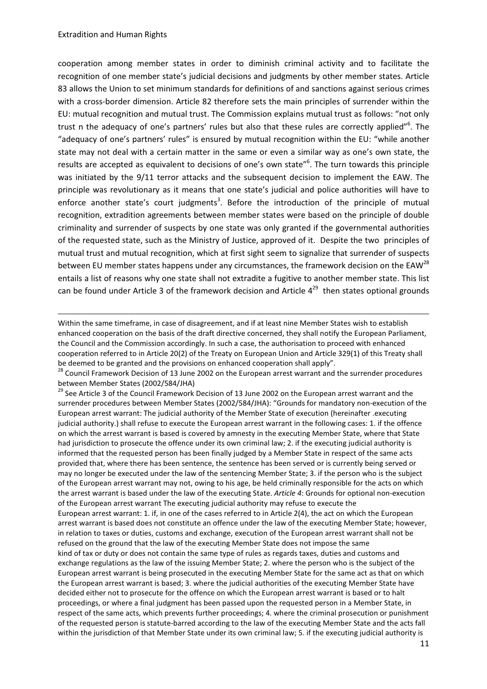-

cooperation among member states in order to diminish criminal activity and to facilitate the recognition of one member state's judicial decisions and judgments by other member states. Article 83 allows the Union to set minimum standards for definitions of and sanctions against serious crimes with a cross-border dimension. Article 82 therefore sets the main principles of surrender within the EU: mutual recognition and mutual trust. The Commission explains mutual trust as follows: "not only trust n the adequacy of one's partners' rules but also that these rules are correctly applied"<sup>6</sup>. The "adequacy of one's partners' rules" is ensured by mutual recognition within the EU: "while another state may not deal with a certain matter in the same or even a similar way as one's own state, the results are accepted as equivalent to decisions of one's own state"<sup>6</sup>. The turn towards this principle was initiated by the 9/11 terror attacks and the subsequent decision to implement the EAW. The principle was revolutionary as it means that one state's judicial and police authorities will have to enforce another state's court judgments<sup>3</sup>. Before the introduction of the principle of mutual recognition, extradition agreements between member states were based on the principle of double criminality and surrender of suspects by one state was only granted if the governmental authorities of the requested state, such as the Ministry of Justice, approved of it. Despite the two principles of mutual trust and mutual recognition, which at first sight seem to signalize that surrender of suspects between EU member states happens under any circumstances, the framework decision on the EAW<sup>28</sup> entails a list of reasons why one state shall not extradite a fugitive to another member state. This list can be found under Article 3 of the framework decision and Article  $4^{29}$  then states optional grounds

Within the same timeframe, in case of disagreement, and if at least nine Member States wish to establish enhanced cooperation on the basis of the draft directive concerned, they shall notify the European Parliament, the Council and the Commission accordingly. In such a case, the authorisation to proceed with enhanced cooperation referred to in Article 20(2) of the Treaty on European Union and Article 329(1) of this Treaty shall be deemed to be granted and the provisions on enhanced cooperation shall apply".

 $28$  Council Framework Decision of 13 June 2002 on the European arrest warrant and the surrender procedures between Member States (2002/584/JHA)

<sup>&</sup>lt;sup>29</sup> See Article 3 of the Council Framework Decision of 13 June 2002 on the European arrest warrant and the surrender procedures between Member States (2002/584/JHA): "Grounds for mandatory non-execution of the European arrest warrant: The judicial authority of the Member State of execution (hereinafter .executing judicial authority.) shall refuse to execute the European arrest warrant in the following cases: 1. if the offence on which the arrest warrant is based is covered by amnesty in the executing Member State, where that State had jurisdiction to prosecute the offence under its own criminal law; 2. if the executing judicial authority is informed that the requested person has been finally judged by a Member State in respect of the same acts provided that, where there has been sentence, the sentence has been served or is currently being served or may no longer be executed under the law of the sentencing Member State; 3. if the person who is the subject of the European arrest warrant may not, owing to his age, be held criminally responsible for the acts on which the arrest warrant is based under the law of the executing State. Article 4: Grounds for optional non-execution of the European arrest warrant The executing judicial authority may refuse to execute the European arrest warrant: 1. if, in one of the cases referred to in Article 2(4), the act on which the European arrest warrant is based does not constitute an offence under the law of the executing Member State; however, in relation to taxes or duties, customs and exchange, execution of the European arrest warrant shall not be refused on the ground that the law of the executing Member State does not impose the same kind of tax or duty or does not contain the same type of rules as regards taxes, duties and customs and exchange regulations as the law of the issuing Member State; 2. where the person who is the subject of the European arrest warrant is being prosecuted in the executing Member State for the same act as that on which the European arrest warrant is based; 3. where the judicial authorities of the executing Member State have decided either not to prosecute for the offence on which the European arrest warrant is based or to halt proceedings, or where a final judgment has been passed upon the requested person in a Member State, in respect of the same acts, which prevents further proceedings; 4. where the criminal prosecution or punishment of the requested person is statute-barred according to the law of the executing Member State and the acts fall within the jurisdiction of that Member State under its own criminal law; 5. if the executing judicial authority is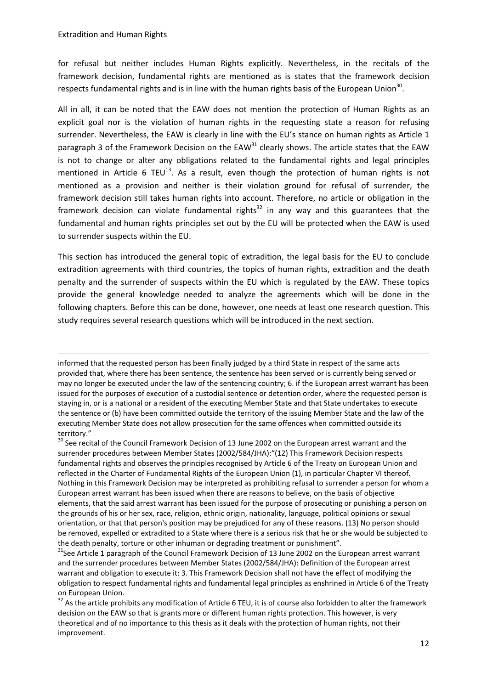<u>.</u>

for refusal but neither includes Human Rights explicitly. Nevertheless, in the recitals of the framework decision, fundamental rights are mentioned as is states that the framework decision respects fundamental rights and is in line with the human rights basis of the European Union<sup>30</sup>.

All in all, it can be noted that the EAW does not mention the protection of Human Rights as an explicit goal nor is the violation of human rights in the requesting state a reason for refusing surrender. Nevertheless, the EAW is clearly in line with the EU's stance on human rights as Article 1 paragraph 3 of the Framework Decision on the EAW<sup>31</sup> clearly shows. The article states that the EAW is not to change or alter any obligations related to the fundamental rights and legal principles mentioned in Article 6 TEU<sup>13</sup>. As a result, even though the protection of human rights is not mentioned as a provision and neither is their violation ground for refusal of surrender, the framework decision still takes human rights into account. Therefore, no article or obligation in the framework decision can violate fundamental rights<sup>32</sup> in any way and this guarantees that the fundamental and human rights principles set out by the EU will be protected when the EAW is used to surrender suspects within the EU.

This section has introduced the general topic of extradition, the legal basis for the EU to conclude extradition agreements with third countries, the topics of human rights, extradition and the death penalty and the surrender of suspects within the EU which is regulated by the EAW. These topics provide the general knowledge needed to analyze the agreements which will be done in the following chapters. Before this can be done, however, one needs at least one research question. This study requires several research questions which will be introduced in the next section.

informed that the requested person has been finally judged by a third State in respect of the same acts provided that, where there has been sentence, the sentence has been served or is currently being served or may no longer be executed under the law of the sentencing country; 6. if the European arrest warrant has been issued for the purposes of execution of a custodial sentence or detention order, where the requested person is staying in, or is a national or a resident of the executing Member State and that State undertakes to execute the sentence or (b) have been committed outside the territory of the issuing Member State and the law of the executing Member State does not allow prosecution for the same offences when committed outside its territory."

 $30$  See recital of the Council Framework Decision of 13 June 2002 on the European arrest warrant and the surrender procedures between Member States (2002/584/JHA):"(12) This Framework Decision respects fundamental rights and observes the principles recognised by Article 6 of the Treaty on European Union and reflected in the Charter of Fundamental Rights of the European Union (1), in particular Chapter VI thereof. Nothing in this Framework Decision may be interpreted as prohibiting refusal to surrender a person for whom a European arrest warrant has been issued when there are reasons to believe, on the basis of objective elements, that the said arrest warrant has been issued for the purpose of prosecuting or punishing a person on the grounds of his or her sex, race, religion, ethnic origin, nationality, language, political opinions or sexual orientation, or that that person's position may be prejudiced for any of these reasons. (13) No person should be removed, expelled or extradited to a State where there is a serious risk that he or she would be subjected to the death penalty, torture or other inhuman or degrading treatment or punishment".

<sup>&</sup>lt;sup>31</sup>See Article 1 paragraph of the Council Framework Decision of 13 June 2002 on the European arrest warrant and the surrender procedures between Member States (2002/584/JHA): Definition of the European arrest warrant and obligation to execute it: 3. This Framework Decision shall not have the effect of modifying the obligation to respect fundamental rights and fundamental legal principles as enshrined in Article 6 of the Treaty on European Union.

 $32$  As the article prohibits any modification of Article 6 TEU, it is of course also forbidden to alter the framework decision on the EAW so that is grants more or different human rights protection. This however, is very theoretical and of no importance to this thesis as it deals with the protection of human rights, not their improvement.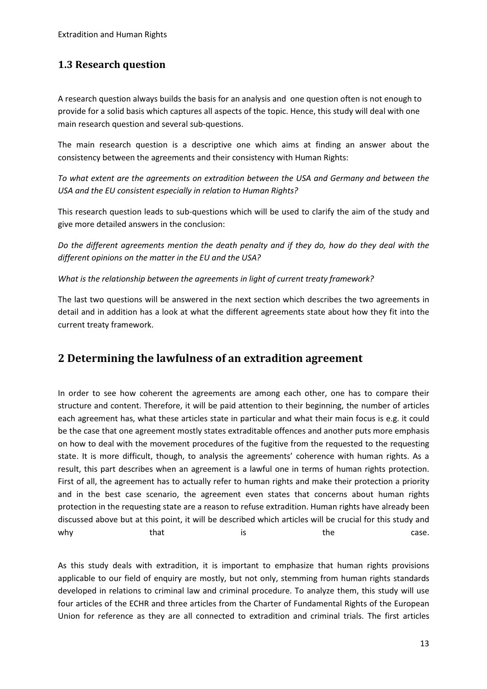### 1.3 Research question

A research question always builds the basis for an analysis and one question often is not enough to provide for a solid basis which captures all aspects of the topic. Hence, this study will deal with one main research question and several sub-questions.

The main research question is a descriptive one which aims at finding an answer about the consistency between the agreements and their consistency with Human Rights:

To what extent are the agreements on extradition between the USA and Germany and between the USA and the EU consistent especially in relation to Human Rights?

This research question leads to sub-questions which will be used to clarify the aim of the study and give more detailed answers in the conclusion:

Do the different agreements mention the death penalty and if they do, how do they deal with the different opinions on the matter in the EU and the USA?

What is the relationship between the agreements in light of current treaty framework?

The last two questions will be answered in the next section which describes the two agreements in detail and in addition has a look at what the different agreements state about how they fit into the current treaty framework.

### 2 Determining the lawfulness of an extradition agreement

In order to see how coherent the agreements are among each other, one has to compare their structure and content. Therefore, it will be paid attention to their beginning, the number of articles each agreement has, what these articles state in particular and what their main focus is e.g. it could be the case that one agreement mostly states extraditable offences and another puts more emphasis on how to deal with the movement procedures of the fugitive from the requested to the requesting state. It is more difficult, though, to analysis the agreements' coherence with human rights. As a result, this part describes when an agreement is a lawful one in terms of human rights protection. First of all, the agreement has to actually refer to human rights and make their protection a priority and in the best case scenario, the agreement even states that concerns about human rights protection in the requesting state are a reason to refuse extradition. Human rights have already been discussed above but at this point, it will be described which articles will be crucial for this study and why that that is the case.

As this study deals with extradition, it is important to emphasize that human rights provisions applicable to our field of enquiry are mostly, but not only, stemming from human rights standards developed in relations to criminal law and criminal procedure. To analyze them, this study will use four articles of the ECHR and three articles from the Charter of Fundamental Rights of the European Union for reference as they are all connected to extradition and criminal trials. The first articles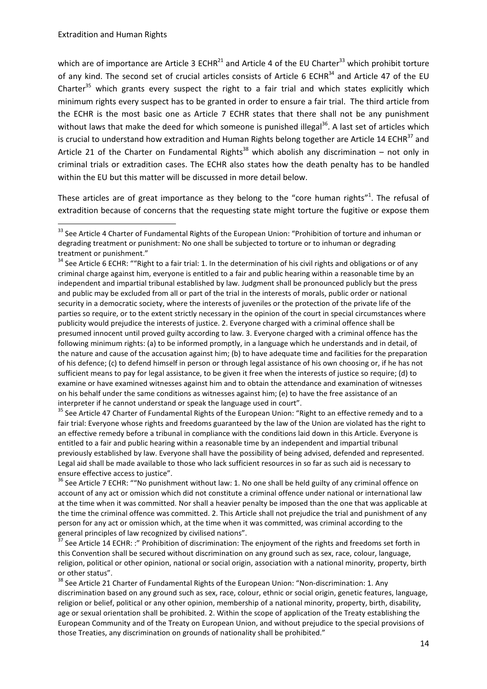which are of importance are Article 3 ECHR<sup>21</sup> and Article 4 of the EU Charter<sup>33</sup> which prohibit torture of any kind. The second set of crucial articles consists of Article 6 ECHR $^{34}$  and Article 47 of the EU Charter<sup>35</sup> which grants every suspect the right to a fair trial and which states explicitly which minimum rights every suspect has to be granted in order to ensure a fair trial. The third article from the ECHR is the most basic one as Article 7 ECHR states that there shall not be any punishment without laws that make the deed for which someone is punished illegal<sup>36</sup>. A last set of articles which is crucial to understand how extradition and Human Rights belong together are Article 14 ECHR<sup>37</sup> and Article 21 of the Charter on Fundamental Rights<sup>38</sup> which abolish any discrimination – not only in criminal trials or extradition cases. The ECHR also states how the death penalty has to be handled within the EU but this matter will be discussed in more detail below.

These articles are of great importance as they belong to the "core human rights"<sup>1</sup>. The refusal of extradition because of concerns that the requesting state might torture the fugitive or expose them

<sup>35</sup> See Article 47 Charter of Fundamental Rights of the European Union: "Right to an effective remedy and to a fair trial: Everyone whose rights and freedoms guaranteed by the law of the Union are violated has the right to an effective remedy before a tribunal in compliance with the conditions laid down in this Article. Everyone is entitled to a fair and public hearing within a reasonable time by an independent and impartial tribunal previously established by law. Everyone shall have the possibility of being advised, defended and represented. Legal aid shall be made available to those who lack sufficient resources in so far as such aid is necessary to ensure effective access to justice".

<sup>36</sup> See Article 7 ECHR: ""No punishment without law: 1. No one shall be held guilty of any criminal offence on account of any act or omission which did not constitute a criminal offence under national or international law at the time when it was committed. Nor shall a heavier penalty be imposed than the one that was applicable at the time the criminal offence was committed. 2. This Article shall not prejudice the trial and punishment of any person for any act or omission which, at the time when it was committed, was criminal according to the general principles of law recognized by civilised nations".

 $37$  See Article 14 ECHR: :" Prohibition of discrimination: The enjoyment of the rights and freedoms set forth in this Convention shall be secured without discrimination on any ground such as sex, race, colour, language, religion, political or other opinion, national or social origin, association with a national minority, property, birth or other status".

 $38$  See Article 21 Charter of Fundamental Rights of the European Union: "Non-discrimination: 1. Any discrimination based on any ground such as sex, race, colour, ethnic or social origin, genetic features, language, religion or belief, political or any other opinion, membership of a national minority, property, birth, disability, age or sexual orientation shall be prohibited. 2. Within the scope of application of the Treaty establishing the European Community and of the Treaty on European Union, and without prejudice to the special provisions of those Treaties, any discrimination on grounds of nationality shall be prohibited."

<sup>&</sup>lt;sup>33</sup> See Article 4 Charter of Fundamental Rights of the European Union: "Prohibition of torture and inhuman or degrading treatment or punishment: No one shall be subjected to torture or to inhuman or degrading treatment or punishment."

 $34$  See Article 6 ECHR: ""Right to a fair trial: 1. In the determination of his civil rights and obligations or of any criminal charge against him, everyone is entitled to a fair and public hearing within a reasonable time by an independent and impartial tribunal established by law. Judgment shall be pronounced publicly but the press and public may be excluded from all or part of the trial in the interests of morals, public order or national security in a democratic society, where the interests of juveniles or the protection of the private life of the parties so require, or to the extent strictly necessary in the opinion of the court in special circumstances where publicity would prejudice the interests of justice. 2. Everyone charged with a criminal offence shall be presumed innocent until proved guilty according to law. 3. Everyone charged with a criminal offence has the following minimum rights: (a) to be informed promptly, in a language which he understands and in detail, of the nature and cause of the accusation against him; (b) to have adequate time and facilities for the preparation of his defence; (c) to defend himself in person or through legal assistance of his own choosing or, if he has not sufficient means to pay for legal assistance, to be given it free when the interests of justice so require; (d) to examine or have examined witnesses against him and to obtain the attendance and examination of witnesses on his behalf under the same conditions as witnesses against him; (e) to have the free assistance of an interpreter if he cannot understand or speak the language used in court".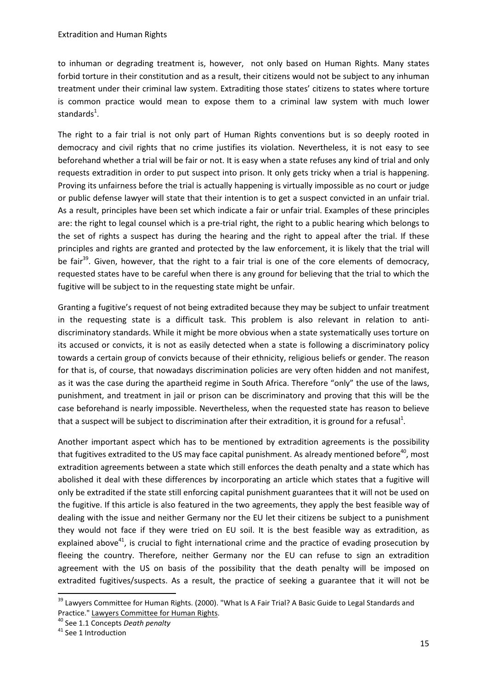to inhuman or degrading treatment is, however, not only based on Human Rights. Many states forbid torture in their constitution and as a result, their citizens would not be subject to any inhuman treatment under their criminal law system. Extraditing those states' citizens to states where torture is common practice would mean to expose them to a criminal law system with much lower standards $^1$ .

The right to a fair trial is not only part of Human Rights conventions but is so deeply rooted in democracy and civil rights that no crime justifies its violation. Nevertheless, it is not easy to see beforehand whether a trial will be fair or not. It is easy when a state refuses any kind of trial and only requests extradition in order to put suspect into prison. It only gets tricky when a trial is happening. Proving its unfairness before the trial is actually happening is virtually impossible as no court or judge or public defense lawyer will state that their intention is to get a suspect convicted in an unfair trial. As a result, principles have been set which indicate a fair or unfair trial. Examples of these principles are: the right to legal counsel which is a pre-trial right, the right to a public hearing which belongs to the set of rights a suspect has during the hearing and the right to appeal after the trial. If these principles and rights are granted and protected by the law enforcement, it is likely that the trial will be fair<sup>39</sup>. Given, however, that the right to a fair trial is one of the core elements of democracy, requested states have to be careful when there is any ground for believing that the trial to which the fugitive will be subject to in the requesting state might be unfair.

Granting a fugitive's request of not being extradited because they may be subject to unfair treatment in the requesting state is a difficult task. This problem is also relevant in relation to antidiscriminatory standards. While it might be more obvious when a state systematically uses torture on its accused or convicts, it is not as easily detected when a state is following a discriminatory policy towards a certain group of convicts because of their ethnicity, religious beliefs or gender. The reason for that is, of course, that nowadays discrimination policies are very often hidden and not manifest, as it was the case during the apartheid regime in South Africa. Therefore "only" the use of the laws, punishment, and treatment in jail or prison can be discriminatory and proving that this will be the case beforehand is nearly impossible. Nevertheless, when the requested state has reason to believe that a suspect will be subject to discrimination after their extradition, it is ground for a refusal<sup>1</sup>.

Another important aspect which has to be mentioned by extradition agreements is the possibility that fugitives extradited to the US may face capital punishment. As already mentioned before<sup>40</sup>, most extradition agreements between a state which still enforces the death penalty and a state which has abolished it deal with these differences by incorporating an article which states that a fugitive will only be extradited if the state still enforcing capital punishment guarantees that it will not be used on the fugitive. If this article is also featured in the two agreements, they apply the best feasible way of dealing with the issue and neither Germany nor the EU let their citizens be subject to a punishment they would not face if they were tried on EU soil. It is the best feasible way as extradition, as explained above<sup>41</sup>, is crucial to fight international crime and the practice of evading prosecution by fleeing the country. Therefore, neither Germany nor the EU can refuse to sign an extradition agreement with the US on basis of the possibility that the death penalty will be imposed on extradited fugitives/suspects. As a result, the practice of seeking a guarantee that it will not be

<sup>&</sup>lt;sup>39</sup> Lawyers Committee for Human Rights. (2000). "What Is A Fair Trial? A Basic Guide to Legal Standards and Practice." Lawyers Committee for Human Rights.

<sup>40</sup> See 1.1 Concepts Death penalty

<sup>&</sup>lt;sup>41</sup> See 1 Introduction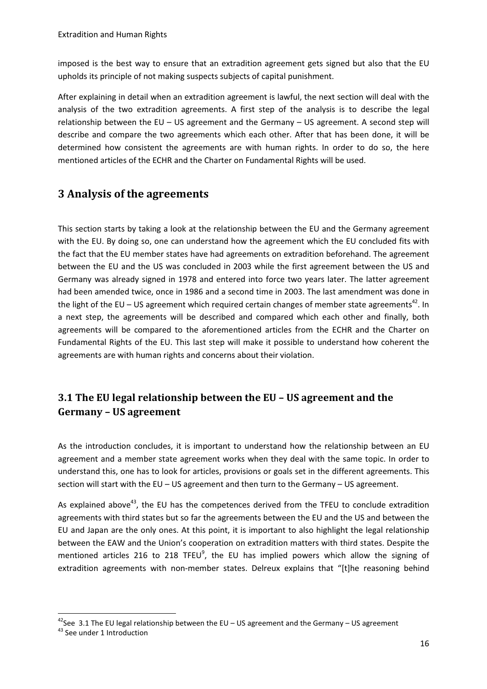imposed is the best way to ensure that an extradition agreement gets signed but also that the EU upholds its principle of not making suspects subjects of capital punishment.

After explaining in detail when an extradition agreement is lawful, the next section will deal with the analysis of the two extradition agreements. A first step of the analysis is to describe the legal relationship between the EU – US agreement and the Germany – US agreement. A second step will describe and compare the two agreements which each other. After that has been done, it will be determined how consistent the agreements are with human rights. In order to do so, the here mentioned articles of the ECHR and the Charter on Fundamental Rights will be used.

## 3 Analysis of the agreements

This section starts by taking a look at the relationship between the EU and the Germany agreement with the EU. By doing so, one can understand how the agreement which the EU concluded fits with the fact that the EU member states have had agreements on extradition beforehand. The agreement between the EU and the US was concluded in 2003 while the first agreement between the US and Germany was already signed in 1978 and entered into force two years later. The latter agreement had been amended twice, once in 1986 and a second time in 2003. The last amendment was done in the light of the EU – US agreement which required certain changes of member state agreements<sup>42</sup>. In a next step, the agreements will be described and compared which each other and finally, both agreements will be compared to the aforementioned articles from the ECHR and the Charter on Fundamental Rights of the EU. This last step will make it possible to understand how coherent the agreements are with human rights and concerns about their violation.

# 3.1 The EU legal relationship between the EU – US agreement and the Germany – US agreement

As the introduction concludes, it is important to understand how the relationship between an EU agreement and a member state agreement works when they deal with the same topic. In order to understand this, one has to look for articles, provisions or goals set in the different agreements. This section will start with the EU – US agreement and then turn to the Germany – US agreement.

As explained above<sup>43</sup>, the EU has the competences derived from the TFEU to conclude extradition agreements with third states but so far the agreements between the EU and the US and between the EU and Japan are the only ones. At this point, it is important to also highlight the legal relationship between the EAW and the Union's cooperation on extradition matters with third states. Despite the mentioned articles 216 to 218 TFEU<sup>9</sup>, the EU has implied powers which allow the signing of extradition agreements with non-member states. Delreux explains that "[t]he reasoning behind

 $\overline{a}$ 

<sup>&</sup>lt;sup>42</sup>See 3.1 The EU legal relationship between the EU – US agreement and the Germany – US agreement

<sup>43</sup> See under 1 Introduction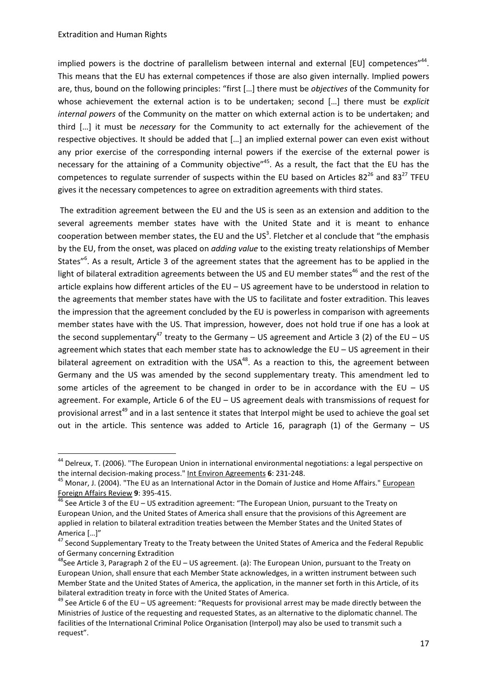implied powers is the doctrine of parallelism between internal and external [EU] competences"<sup>44</sup>. This means that the EU has external competences if those are also given internally. Implied powers are, thus, bound on the following principles: "first [...] there must be *objectives* of the Community for whose achievement the external action is to be undertaken; second [...] there must be explicit internal powers of the Community on the matter on which external action is to be undertaken; and third [...] it must be necessary for the Community to act externally for the achievement of the respective objectives. It should be added that […] an implied external power can even exist without any prior exercise of the corresponding internal powers if the exercise of the external power is necessary for the attaining of a Community objective<sup>"45</sup>. As a result, the fact that the EU has the competences to regulate surrender of suspects within the EU based on Articles 82<sup>26</sup> and 83<sup>27</sup> TFEU gives it the necessary competences to agree on extradition agreements with third states.

 The extradition agreement between the EU and the US is seen as an extension and addition to the several agreements member states have with the United State and it is meant to enhance cooperation between member states, the EU and the US<sup>3</sup>. Fletcher et al conclude that "the emphasis by the EU, from the onset, was placed on *adding value* to the existing treaty relationships of Member States"<sup>6</sup>. As a result, Article 3 of the agreement states that the agreement has to be applied in the light of bilateral extradition agreements between the US and EU member states<sup>46</sup> and the rest of the article explains how different articles of the EU – US agreement have to be understood in relation to the agreements that member states have with the US to facilitate and foster extradition. This leaves the impression that the agreement concluded by the EU is powerless in comparison with agreements member states have with the US. That impression, however, does not hold true if one has a look at the second supplementary<sup>47</sup> treaty to the Germany – US agreement and Article 3 (2) of the EU – US agreement which states that each member state has to acknowledge the EU – US agreement in their bilateral agreement on extradition with the USA $48$ . As a reaction to this, the agreement between Germany and the US was amended by the second supplementary treaty. This amendment led to some articles of the agreement to be changed in order to be in accordance with the  $EU - US$ agreement. For example, Article 6 of the EU – US agreement deals with transmissions of request for provisional arrest<sup>49</sup> and in a last sentence it states that Interpol might be used to achieve the goal set out in the article. This sentence was added to Article 16, paragraph (1) of the Germany – US

<sup>44</sup> Delreux, T. (2006). "The European Union in international environmental negotiations: a legal perspective on the internal decision-making process." Int Environ Agreements 6: 231-248.

<sup>45</sup> Monar, J. (2004). "The EU as an International Actor in the Domain of Justice and Home Affairs." European Foreign Affairs Review 9: 395-415.

**<sup>46</sup> See Article 3 of the EU – US extradition agreement: "The European Union, pursuant to the Treaty on** European Union, and the United States of America shall ensure that the provisions of this Agreement are applied in relation to bilateral extradition treaties between the Member States and the United States of America […]"

<sup>&</sup>lt;sup>47</sup> Second Supplementary Treaty to the Treaty between the United States of America and the Federal Republic of Germany concerning Extradition

<sup>&</sup>lt;sup>48</sup>See Article 3, Paragraph 2 of the EU – US agreement. (a): The European Union, pursuant to the Treaty on European Union, shall ensure that each Member State acknowledges, in a written instrument between such Member State and the United States of America, the application, in the manner set forth in this Article, of its bilateral extradition treaty in force with the United States of America.

 $49$  See Article 6 of the EU – US agreement: "Requests for provisional arrest may be made directly between the Ministries of Justice of the requesting and requested States, as an alternative to the diplomatic channel. The facilities of the International Criminal Police Organisation (Interpol) may also be used to transmit such a request".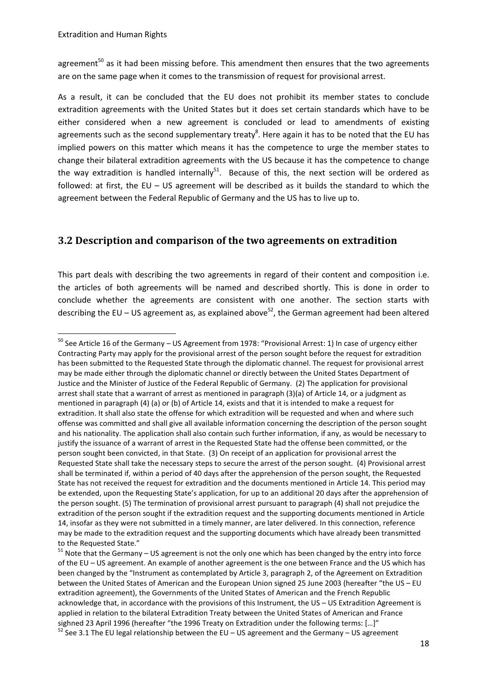agreement $50$  as it had been missing before. This amendment then ensures that the two agreements are on the same page when it comes to the transmission of request for provisional arrest.

As a result, it can be concluded that the EU does not prohibit its member states to conclude extradition agreements with the United States but it does set certain standards which have to be either considered when a new agreement is concluded or lead to amendments of existing agreements such as the second supplementary treaty<sup>8</sup>. Here again it has to be noted that the EU has implied powers on this matter which means it has the competence to urge the member states to change their bilateral extradition agreements with the US because it has the competence to change the way extradition is handled internally<sup>51</sup>. Because of this, the next section will be ordered as followed: at first, the EU – US agreement will be described as it builds the standard to which the agreement between the Federal Republic of Germany and the US has to live up to.

#### 3.2 Description and comparison of the two agreements on extradition

This part deals with describing the two agreements in regard of their content and composition i.e. the articles of both agreements will be named and described shortly. This is done in order to conclude whether the agreements are consistent with one another. The section starts with describing the EU – US agreement as, as explained above<sup>52</sup>, the German agreement had been altered

 $50$  See Article 16 of the Germany – US Agreement from 1978: "Provisional Arrest: 1) In case of urgency either Contracting Party may apply for the provisional arrest of the person sought before the request for extradition has been submitted to the Requested State through the diplomatic channel. The request for provisional arrest may be made either through the diplomatic channel or directly between the United States Department of Justice and the Minister of Justice of the Federal Republic of Germany. (2) The application for provisional arrest shall state that a warrant of arrest as mentioned in paragraph (3)(a) of Article 14, or a judgment as mentioned in paragraph (4) (a) or (b) of Article 14, exists and that it is intended to make a request for extradition. It shall also state the offense for which extradition will be requested and when and where such offense was committed and shall give all available information concerning the description of the person sought and his nationality. The application shall also contain such further information, if any, as would be necessary to justify the issuance of a warrant of arrest in the Requested State had the offense been committed, or the person sought been convicted, in that State. (3) On receipt of an application for provisional arrest the Requested State shall take the necessary steps to secure the arrest of the person sought. (4) Provisional arrest shall be terminated if, within a period of 40 days after the apprehension of the person sought, the Requested State has not received the request for extradition and the documents mentioned in Article 14. This period may be extended, upon the Requesting State's application, for up to an additional 20 days after the apprehension of the person sought. (5) The termination of provisional arrest pursuant to paragraph (4) shall not prejudice the extradition of the person sought if the extradition request and the supporting documents mentioned in Article 14, insofar as they were not submitted in a timely manner, are later delivered. In this connection, reference may be made to the extradition request and the supporting documents which have already been transmitted to the Requested State."

 $51$  Note that the Germany – US agreement is not the only one which has been changed by the entry into force of the EU – US agreement. An example of another agreement is the one between France and the US which has been changed by the "Instrument as contemplated by Article 3, paragraph 2, of the Agreement on Extradition between the United States of American and the European Union signed 25 June 2003 (hereafter "the US – EU extradition agreement), the Governments of the United States of American and the French Republic acknowledge that, in accordance with the provisions of this Instrument, the US – US Extradition Agreement is applied in relation to the bilateral Extradition Treaty between the United States of American and France sighned 23 April 1996 (hereafter "the 1996 Treaty on Extradition under the following terms: […]"  $52$  See 3.1 The EU legal relationship between the EU – US agreement and the Germany – US agreement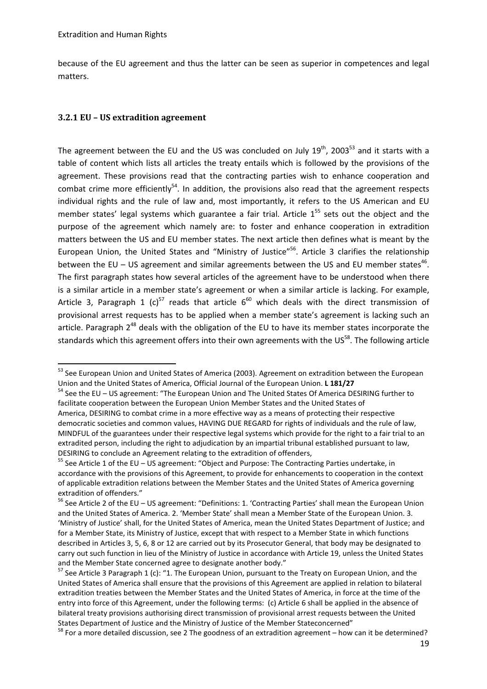because of the EU agreement and thus the latter can be seen as superior in competences and legal matters.

#### 3.2.1 EU – US extradition agreement

The agreement between the EU and the US was concluded on July  $19^{th}$ , 2003<sup>53</sup> and it starts with a table of content which lists all articles the treaty entails which is followed by the provisions of the agreement. These provisions read that the contracting parties wish to enhance cooperation and combat crime more efficiently<sup>54</sup>. In addition, the provisions also read that the agreement respects individual rights and the rule of law and, most importantly, it refers to the US American and EU member states' legal systems which guarantee a fair trial. Article  $1<sup>55</sup>$  sets out the object and the purpose of the agreement which namely are: to foster and enhance cooperation in extradition matters between the US and EU member states. The next article then defines what is meant by the European Union, the United States and "Ministry of Justice"<sup>56</sup>. Article 3 clarifies the relationship between the EU – US agreement and similar agreements between the US and EU member states<sup>46</sup>. The first paragraph states how several articles of the agreement have to be understood when there is a similar article in a member state's agreement or when a similar article is lacking. For example, Article 3, Paragraph 1 (c)<sup>57</sup> reads that article  $6^{60}$  which deals with the direct transmission of provisional arrest requests has to be applied when a member state's agreement is lacking such an article. Paragraph  $2^{48}$  deals with the obligation of the EU to have its member states incorporate the standards which this agreement offers into their own agreements with the  $US^{58}$ . The following article

<sup>&</sup>lt;sup>53</sup> See European Union and United States of America (2003). Agreement on extradition between the European Union and the United States of America, Official Journal of the European Union. L 181/27

<sup>54</sup> See the EU – US agreement: "The European Union and The United States Of America DESIRING further to facilitate cooperation between the European Union Member States and the United States of America, DESIRING to combat crime in a more effective way as a means of protecting their respective democratic societies and common values, HAVING DUE REGARD for rights of individuals and the rule of law, MINDFUL of the guarantees under their respective legal systems which provide for the right to a fair trial to an extradited person, including the right to adjudication by an impartial tribunal established pursuant to law, DESIRING to conclude an Agreement relating to the extradition of offenders,

<sup>55</sup> See Article 1 of the EU – US agreement: "Object and Purpose: The Contracting Parties undertake, in accordance with the provisions of this Agreement, to provide for enhancements to cooperation in the context of applicable extradition relations between the Member States and the United States of America governing extradition of offenders."

<sup>56</sup> See Article 2 of the EU – US agreement: "Definitions: 1. 'Contracting Parties' shall mean the European Union and the United States of America. 2. 'Member State' shall mean a Member State of the European Union. 3. 'Ministry of Justice' shall, for the United States of America, mean the United States Department of Justice; and for a Member State, its Ministry of Justice, except that with respect to a Member State in which functions described in Articles 3, 5, 6, 8 or 12 are carried out by its Prosecutor General, that body may be designated to carry out such function in lieu of the Ministry of Justice in accordance with Article 19, unless the United States and the Member State concerned agree to designate another body."

<sup>&</sup>lt;sup>57</sup> See Article 3 Paragraph 1 (c): "1. The European Union, pursuant to the Treaty on European Union, and the United States of America shall ensure that the provisions of this Agreement are applied in relation to bilateral extradition treaties between the Member States and the United States of America, in force at the time of the entry into force of this Agreement, under the following terms: (c) Article 6 shall be applied in the absence of bilateral treaty provisions authorising direct transmission of provisional arrest requests between the United States Department of Justice and the Ministry of Justice of the Member Stateconcerned"

<sup>&</sup>lt;sup>58</sup> For a more detailed discussion, see 2 The goodness of an extradition agreement – how can it be determined?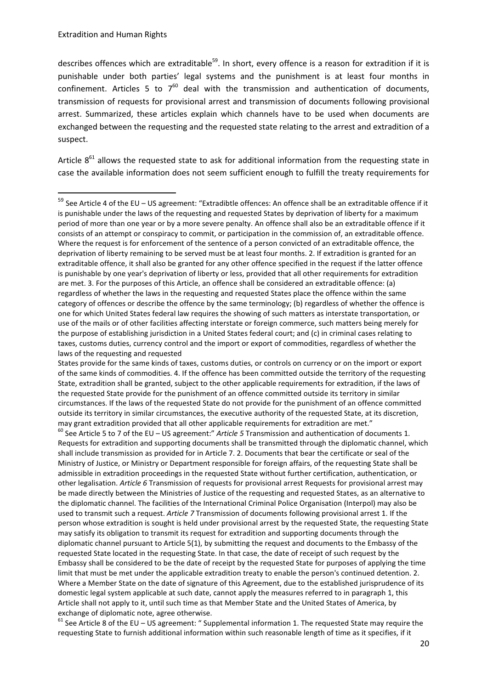describes offences which are extraditable<sup>59</sup>. In short, every offence is a reason for extradition if it is punishable under both parties' legal systems and the punishment is at least four months in confinement. Articles 5 to  $7^{60}$  deal with the transmission and authentication of documents, transmission of requests for provisional arrest and transmission of documents following provisional arrest. Summarized, these articles explain which channels have to be used when documents are exchanged between the requesting and the requested state relating to the arrest and extradition of a suspect.

Article  $8^{61}$  allows the requested state to ask for additional information from the requesting state in case the available information does not seem sufficient enough to fulfill the treaty requirements for

 $59$  See Article 4 of the EU – US agreement: "Extradibtle offences: An offence shall be an extraditable offence if it is punishable under the laws of the requesting and requested States by deprivation of liberty for a maximum period of more than one year or by a more severe penalty. An offence shall also be an extraditable offence if it consists of an attempt or conspiracy to commit, or participation in the commission of, an extraditable offence. Where the request is for enforcement of the sentence of a person convicted of an extraditable offence, the deprivation of liberty remaining to be served must be at least four months. 2. If extradition is granted for an extraditable offence, it shall also be granted for any other offence specified in the request if the latter offence is punishable by one year's deprivation of liberty or less, provided that all other requirements for extradition are met. 3. For the purposes of this Article, an offence shall be considered an extraditable offence: (a) regardless of whether the laws in the requesting and requested States place the offence within the same category of offences or describe the offence by the same terminology; (b) regardless of whether the offence is one for which United States federal law requires the showing of such matters as interstate transportation, or use of the mails or of other facilities affecting interstate or foreign commerce, such matters being merely for the purpose of establishing jurisdiction in a United States federal court; and (c) in criminal cases relating to taxes, customs duties, currency control and the import or export of commodities, regardless of whether the laws of the requesting and requested

States provide for the same kinds of taxes, customs duties, or controls on currency or on the import or export of the same kinds of commodities. 4. If the offence has been committed outside the territory of the requesting State, extradition shall be granted, subject to the other applicable requirements for extradition, if the laws of the requested State provide for the punishment of an offence committed outside its territory in similar circumstances. If the laws of the requested State do not provide for the punishment of an offence committed outside its territory in similar circumstances, the executive authority of the requested State, at its discretion, may grant extradition provided that all other applicable requirements for extradition are met."

 $60$  See Article 5 to 7 of the EU – US agreement:" Article 5 Transmission and authentication of documents 1. Requests for extradition and supporting documents shall be transmitted through the diplomatic channel, which shall include transmission as provided for in Article 7. 2. Documents that bear the certificate or seal of the Ministry of Justice, or Ministry or Department responsible for foreign affairs, of the requesting State shall be admissible in extradition proceedings in the requested State without further certification, authentication, or other legalisation. Article 6 Transmission of requests for provisional arrest Requests for provisional arrest may be made directly between the Ministries of Justice of the requesting and requested States, as an alternative to the diplomatic channel. The facilities of the International Criminal Police Organisation (Interpol) may also be used to transmit such a request. Article 7 Transmission of documents following provisional arrest 1. If the person whose extradition is sought is held under provisional arrest by the requested State, the requesting State may satisfy its obligation to transmit its request for extradition and supporting documents through the diplomatic channel pursuant to Article 5(1), by submitting the request and documents to the Embassy of the requested State located in the requesting State. In that case, the date of receipt of such request by the Embassy shall be considered to be the date of receipt by the requested State for purposes of applying the time limit that must be met under the applicable extradition treaty to enable the person's continued detention. 2. Where a Member State on the date of signature of this Agreement, due to the established jurisprudence of its domestic legal system applicable at such date, cannot apply the measures referred to in paragraph 1, this Article shall not apply to it, until such time as that Member State and the United States of America, by exchange of diplomatic note, agree otherwise.

 $61$  See Article 8 of the EU – US agreement: " Supplemental information 1. The requested State may require the requesting State to furnish additional information within such reasonable length of time as it specifies, if it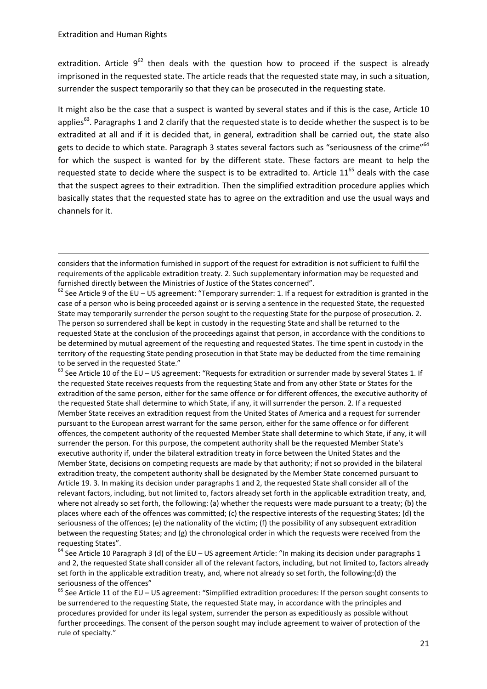-

extradition. Article  $9^{62}$  then deals with the question how to proceed if the suspect is already imprisoned in the requested state. The article reads that the requested state may, in such a situation, surrender the suspect temporarily so that they can be prosecuted in the requesting state.

It might also be the case that a suspect is wanted by several states and if this is the case, Article 10 applies<sup>63</sup>. Paragraphs 1 and 2 clarify that the requested state is to decide whether the suspect is to be extradited at all and if it is decided that, in general, extradition shall be carried out, the state also gets to decide to which state. Paragraph 3 states several factors such as "seriousness of the crime"<sup>64</sup> for which the suspect is wanted for by the different state. These factors are meant to help the requested state to decide where the suspect is to be extradited to. Article  $11^{65}$  deals with the case that the suspect agrees to their extradition. Then the simplified extradition procedure applies which basically states that the requested state has to agree on the extradition and use the usual ways and channels for it.

 $63$  See Article 10 of the EU – US agreement: "Requests for extradition or surrender made by several States 1. If the requested State receives requests from the requesting State and from any other State or States for the extradition of the same person, either for the same offence or for different offences, the executive authority of the requested State shall determine to which State, if any, it will surrender the person. 2. If a requested Member State receives an extradition request from the United States of America and a request for surrender pursuant to the European arrest warrant for the same person, either for the same offence or for different offences, the competent authority of the requested Member State shall determine to which State, if any, it will surrender the person. For this purpose, the competent authority shall be the requested Member State's executive authority if, under the bilateral extradition treaty in force between the United States and the Member State, decisions on competing requests are made by that authority; if not so provided in the bilateral extradition treaty, the competent authority shall be designated by the Member State concerned pursuant to Article 19. 3. In making its decision under paragraphs 1 and 2, the requested State shall consider all of the relevant factors, including, but not limited to, factors already set forth in the applicable extradition treaty, and, where not already so set forth, the following: (a) whether the requests were made pursuant to a treaty; (b) the places where each of the offences was committed; (c) the respective interests of the requesting States; (d) the seriousness of the offences; (e) the nationality of the victim; (f) the possibility of any subsequent extradition between the requesting States; and (g) the chronological order in which the requests were received from the requesting States".

 $64$  See Article 10 Paragraph 3 (d) of the EU – US agreement Article: "In making its decision under paragraphs 1 and 2, the requested State shall consider all of the relevant factors, including, but not limited to, factors already set forth in the applicable extradition treaty, and, where not already so set forth, the following:(d) the seriousness of the offences"

 $65$  See Article 11 of the EU – US agreement: "Simplified extradition procedures: If the person sought consents to be surrendered to the requesting State, the requested State may, in accordance with the principles and procedures provided for under its legal system, surrender the person as expeditiously as possible without further proceedings. The consent of the person sought may include agreement to waiver of protection of the rule of specialty."

considers that the information furnished in support of the request for extradition is not sufficient to fulfil the requirements of the applicable extradition treaty. 2. Such supplementary information may be requested and furnished directly between the Ministries of Justice of the States concerned".

 $62$  See Article 9 of the EU – US agreement: "Temporary surrender: 1. If a request for extradition is granted in the case of a person who is being proceeded against or is serving a sentence in the requested State, the requested State may temporarily surrender the person sought to the requesting State for the purpose of prosecution. 2. The person so surrendered shall be kept in custody in the requesting State and shall be returned to the requested State at the conclusion of the proceedings against that person, in accordance with the conditions to be determined by mutual agreement of the requesting and requested States. The time spent in custody in the territory of the requesting State pending prosecution in that State may be deducted from the time remaining to be served in the requested State."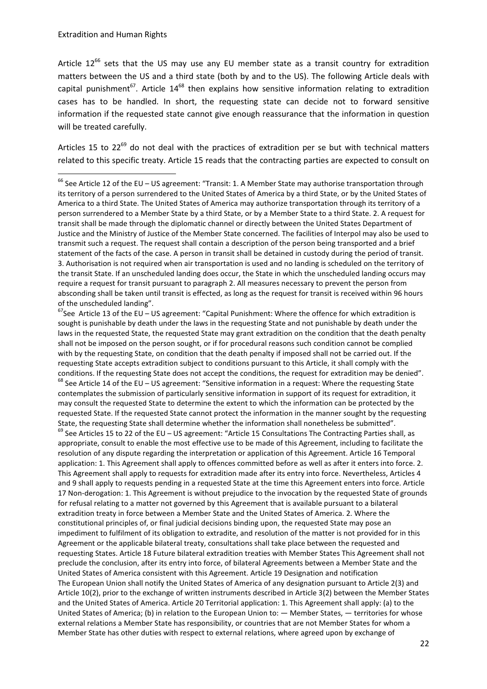l

Article  $12^{66}$  sets that the US may use any EU member state as a transit country for extradition matters between the US and a third state (both by and to the US). The following Article deals with capital punishment<sup>67</sup>. Article  $14^{68}$  then explains how sensitive information relating to extradition cases has to be handled. In short, the requesting state can decide not to forward sensitive information if the requested state cannot give enough reassurance that the information in question will be treated carefully.

Articles 15 to  $22^{69}$  do not deal with the practices of extradition per se but with technical matters related to this specific treaty. Article 15 reads that the contracting parties are expected to consult on

 $67$ See Article 13 of the EU – US agreement: "Capital Punishment: Where the offence for which extradition is sought is punishable by death under the laws in the requesting State and not punishable by death under the laws in the requested State, the requested State may grant extradition on the condition that the death penalty shall not be imposed on the person sought, or if for procedural reasons such condition cannot be complied with by the requesting State, on condition that the death penalty if imposed shall not be carried out. If the requesting State accepts extradition subject to conditions pursuant to this Article, it shall comply with the conditions. If the requesting State does not accept the conditions, the request for extradition may be denied".  $^{68}$  See Article 14 of the EU – US agreement: "Sensitive information in a request: Where the requesting State contemplates the submission of particularly sensitive information in support of its request for extradition, it may consult the requested State to determine the extent to which the information can be protected by the requested State. If the requested State cannot protect the information in the manner sought by the requesting State, the requesting State shall determine whether the information shall nonetheless be submitted".  $69$  See Articles 15 to 22 of the EU – US agreement: "Article 15 Consultations The Contracting Parties shall, as appropriate, consult to enable the most effective use to be made of this Agreement, including to facilitate the resolution of any dispute regarding the interpretation or application of this Agreement. Article 16 Temporal application: 1. This Agreement shall apply to offences committed before as well as after it enters into force. 2. This Agreement shall apply to requests for extradition made after its entry into force. Nevertheless, Articles 4 and 9 shall apply to requests pending in a requested State at the time this Agreement enters into force. Article 17 Non-derogation: 1. This Agreement is without prejudice to the invocation by the requested State of grounds for refusal relating to a matter not governed by this Agreement that is available pursuant to a bilateral extradition treaty in force between a Member State and the United States of America. 2. Where the constitutional principles of, or final judicial decisions binding upon, the requested State may pose an impediment to fulfilment of its obligation to extradite, and resolution of the matter is not provided for in this Agreement or the applicable bilateral treaty, consultations shall take place between the requested and requesting States. Article 18 Future bilateral extradition treaties with Member States This Agreement shall not preclude the conclusion, after its entry into force, of bilateral Agreements between a Member State and the United States of America consistent with this Agreement. Article 19 Designation and notification The European Union shall notify the United States of America of any designation pursuant to Article 2(3) and Article 10(2), prior to the exchange of written instruments described in Article 3(2) between the Member States and the United States of America. Article 20 Territorial application: 1. This Agreement shall apply: (a) to the United States of America; (b) in relation to the European Union to: — Member States, — territories for whose external relations a Member State has responsibility, or countries that are not Member States for whom a Member State has other duties with respect to external relations, where agreed upon by exchange of

 $66$  See Article 12 of the EU – US agreement: "Transit: 1. A Member State may authorise transportation through its territory of a person surrendered to the United States of America by a third State, or by the United States of America to a third State. The United States of America may authorize transportation through its territory of a person surrendered to a Member State by a third State, or by a Member State to a third State. 2. A request for transit shall be made through the diplomatic channel or directly between the United States Department of Justice and the Ministry of Justice of the Member State concerned. The facilities of Interpol may also be used to transmit such a request. The request shall contain a description of the person being transported and a brief statement of the facts of the case. A person in transit shall be detained in custody during the period of transit. 3. Authorisation is not required when air transportation is used and no landing is scheduled on the territory of the transit State. If an unscheduled landing does occur, the State in which the unscheduled landing occurs may require a request for transit pursuant to paragraph 2. All measures necessary to prevent the person from absconding shall be taken until transit is effected, as long as the request for transit is received within 96 hours of the unscheduled landing".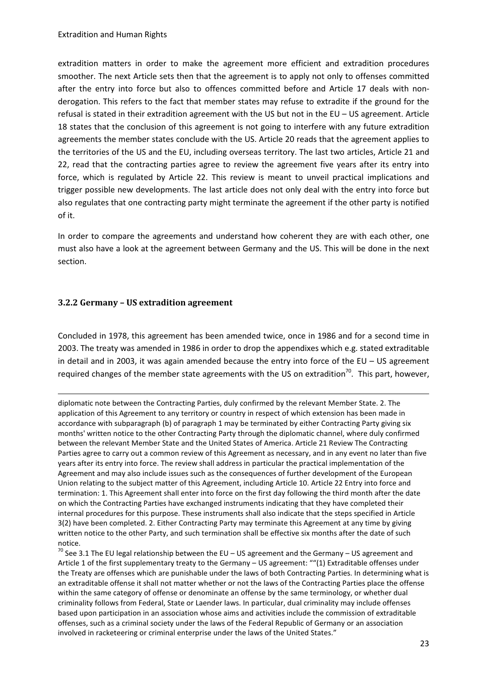extradition matters in order to make the agreement more efficient and extradition procedures smoother. The next Article sets then that the agreement is to apply not only to offenses committed after the entry into force but also to offences committed before and Article 17 deals with nonderogation. This refers to the fact that member states may refuse to extradite if the ground for the refusal is stated in their extradition agreement with the US but not in the EU – US agreement. Article 18 states that the conclusion of this agreement is not going to interfere with any future extradition agreements the member states conclude with the US. Article 20 reads that the agreement applies to the territories of the US and the EU, including overseas territory. The last two articles, Article 21 and 22, read that the contracting parties agree to review the agreement five years after its entry into force, which is regulated by Article 22. This review is meant to unveil practical implications and trigger possible new developments. The last article does not only deal with the entry into force but also regulates that one contracting party might terminate the agreement if the other party is notified of it.

In order to compare the agreements and understand how coherent they are with each other, one must also have a look at the agreement between Germany and the US. This will be done in the next section.

#### 3.2.2 Germany – US extradition agreement

.<br>-

Concluded in 1978, this agreement has been amended twice, once in 1986 and for a second time in 2003. The treaty was amended in 1986 in order to drop the appendixes which e.g. stated extraditable in detail and in 2003, it was again amended because the entry into force of the EU – US agreement required changes of the member state agreements with the US on extradition<sup>70</sup>. This part, however,

diplomatic note between the Contracting Parties, duly confirmed by the relevant Member State. 2. The application of this Agreement to any territory or country in respect of which extension has been made in accordance with subparagraph (b) of paragraph 1 may be terminated by either Contracting Party giving six months' written notice to the other Contracting Party through the diplomatic channel, where duly confirmed between the relevant Member State and the United States of America. Article 21 Review The Contracting Parties agree to carry out a common review of this Agreement as necessary, and in any event no later than five years after its entry into force. The review shall address in particular the practical implementation of the Agreement and may also include issues such as the consequences of further development of the European Union relating to the subject matter of this Agreement, including Article 10. Article 22 Entry into force and termination: 1. This Agreement shall enter into force on the first day following the third month after the date on which the Contracting Parties have exchanged instruments indicating that they have completed their internal procedures for this purpose. These instruments shall also indicate that the steps specified in Article 3(2) have been completed. 2. Either Contracting Party may terminate this Agreement at any time by giving written notice to the other Party, and such termination shall be effective six months after the date of such notice.

 $^{70}$  See 3.1 The EU legal relationship between the EU – US agreement and the Germany – US agreement and Article 1 of the first supplementary treaty to the Germany – US agreement: ""(1) Extraditable offenses under the Treaty are offenses which are punishable under the laws of both Contracting Parties. In determining what is an extraditable offense it shall not matter whether or not the laws of the Contracting Parties place the offense within the same category of offense or denominate an offense by the same terminology, or whether dual criminality follows from Federal, State or Laender laws. In particular, dual criminality may include offenses based upon participation in an association whose aims and activities include the commission of extraditable offenses, such as a criminal society under the laws of the Federal Republic of Germany or an association involved in racketeering or criminal enterprise under the laws of the United States."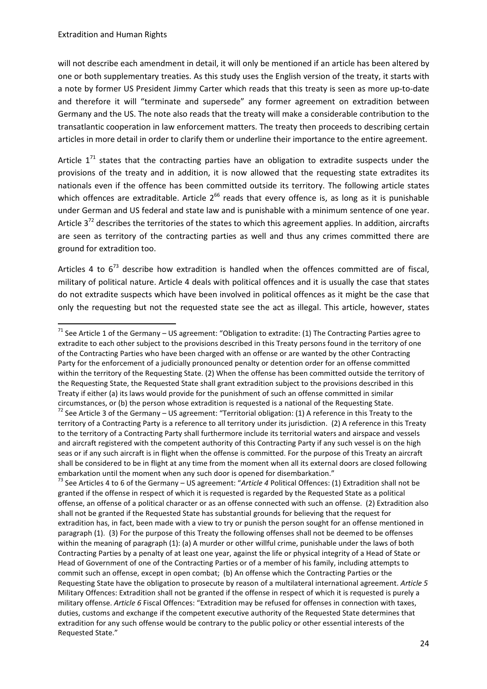will not describe each amendment in detail, it will only be mentioned if an article has been altered by one or both supplementary treaties. As this study uses the English version of the treaty, it starts with a note by former US President Jimmy Carter which reads that this treaty is seen as more up-to-date and therefore it will "terminate and supersede" any former agreement on extradition between Germany and the US. The note also reads that the treaty will make a considerable contribution to the transatlantic cooperation in law enforcement matters. The treaty then proceeds to describing certain articles in more detail in order to clarify them or underline their importance to the entire agreement.

Article  $1^{71}$  states that the contracting parties have an obligation to extradite suspects under the provisions of the treaty and in addition, it is now allowed that the requesting state extradites its nationals even if the offence has been committed outside its territory. The following article states which offences are extraditable. Article  $2^{66}$  reads that every offence is, as long as it is punishable under German and US federal and state law and is punishable with a minimum sentence of one year. Article  $3^{72}$  describes the territories of the states to which this agreement applies. In addition, aircrafts are seen as territory of the contracting parties as well and thus any crimes committed there are ground for extradition too.

Articles 4 to  $6^{73}$  describe how extradition is handled when the offences committed are of fiscal, military of political nature. Article 4 deals with political offences and it is usually the case that states do not extradite suspects which have been involved in political offences as it might be the case that only the requesting but not the requested state see the act as illegal. This article, however, states

 $71$  See Article 1 of the Germany – US agreement: "Obligation to extradite: (1) The Contracting Parties agree to extradite to each other subject to the provisions described in this Treaty persons found in the territory of one of the Contracting Parties who have been charged with an offense or are wanted by the other Contracting Party for the enforcement of a judicially pronounced penalty or detention order for an offense committed within the territory of the Requesting State. (2) When the offense has been committed outside the territory of the Requesting State, the Requested State shall grant extradition subject to the provisions described in this Treaty if either (a) its laws would provide for the punishment of such an offense committed in similar circumstances, or (b) the person whose extradition is requested is a national of the Requesting State.

 $^{72}$  See Article 3 of the Germany – US agreement: "Territorial obligation: (1) A reference in this Treaty to the territory of a Contracting Party is a reference to all territory under its jurisdiction. (2) A reference in this Treaty to the territory of a Contracting Party shall furthermore include its territorial waters and airspace and vessels and aircraft registered with the competent authority of this Contracting Party if any such vessel is on the high seas or if any such aircraft is in flight when the offense is committed. For the purpose of this Treaty an aircraft shall be considered to be in flight at any time from the moment when all its external doors are closed following embarkation until the moment when any such door is opened for disembarkation."

 $^{73}$  See Articles 4 to 6 of the Germany – US agreement: "Article 4 Political Offences: (1) Extradition shall not be granted if the offense in respect of which it is requested is regarded by the Requested State as a political offense, an offense of a political character or as an offense connected with such an offense. (2) Extradition also shall not be granted if the Requested State has substantial grounds for believing that the request for extradition has, in fact, been made with a view to try or punish the person sought for an offense mentioned in paragraph (1). (3) For the purpose of this Treaty the following offenses shall not be deemed to be offenses within the meaning of paragraph (1): (a) A murder or other willful crime, punishable under the laws of both Contracting Parties by a penalty of at least one year, against the life or physical integrity of a Head of State or Head of Government of one of the Contracting Parties or of a member of his family, including attempts to commit such an offense, except in open combat; (b) An offense which the Contracting Parties or the Requesting State have the obligation to prosecute by reason of a multilateral international agreement. Article 5 Military Offences: Extradition shall not be granted if the offense in respect of which it is requested is purely a military offense. Article 6 Fiscal Offences: "Extradition may be refused for offenses in connection with taxes, duties, customs and exchange if the competent executive authority of the Requested State determines that extradition for any such offense would be contrary to the public policy or other essential interests of the Requested State."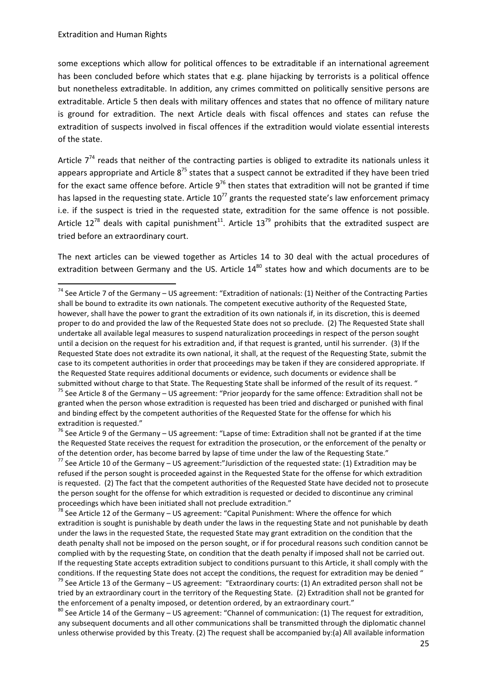l

some exceptions which allow for political offences to be extraditable if an international agreement has been concluded before which states that e.g. plane hijacking by terrorists is a political offence but nonetheless extraditable. In addition, any crimes committed on politically sensitive persons are extraditable. Article 5 then deals with military offences and states that no offence of military nature is ground for extradition. The next Article deals with fiscal offences and states can refuse the extradition of suspects involved in fiscal offences if the extradition would violate essential interests of the state.

Article  $7^{74}$  reads that neither of the contracting parties is obliged to extradite its nationals unless it appears appropriate and Article  $8^{75}$  states that a suspect cannot be extradited if they have been tried for the exact same offence before. Article  $9^{76}$  then states that extradition will not be granted if time has lapsed in the requesting state. Article  $10^{77}$  grants the requested state's law enforcement primacy i.e. if the suspect is tried in the requested state, extradition for the same offence is not possible. Article  $12^{78}$  deals with capital punishment<sup>11</sup>. Article  $13^{79}$  prohibits that the extradited suspect are tried before an extraordinary court.

The next articles can be viewed together as Articles 14 to 30 deal with the actual procedures of extradition between Germany and the US. Article  $14^{80}$  states how and which documents are to be

 $75$  See Article 8 of the Germany – US agreement: "Prior jeopardy for the same offence: Extradition shall not be granted when the person whose extradition is requested has been tried and discharged or punished with final and binding effect by the competent authorities of the Requested State for the offense for which his extradition is requested."

 $76$  See Article 9 of the Germany – US agreement: "Lapse of time: Extradition shall not be granted if at the time the Requested State receives the request for extradition the prosecution, or the enforcement of the penalty or of the detention order, has become barred by lapse of time under the law of the Requesting State."

 $^{77}$  See Article 10 of the Germany – US agreement:"Jurisdiction of the requested state: (1) Extradition may be refused if the person sought is proceeded against in the Requested State for the offense for which extradition is requested. (2) The fact that the competent authorities of the Requested State have decided not to prosecute the person sought for the offense for which extradition is requested or decided to discontinue any criminal proceedings which have been initiated shall not preclude extradition."

 $\frac{1}{28}$  See Article 12 of the Germany – US agreement: "Capital Punishment: Where the offence for which extradition is sought is punishable by death under the laws in the requesting State and not punishable by death under the laws in the requested State, the requested State may grant extradition on the condition that the death penalty shall not be imposed on the person sought, or if for procedural reasons such condition cannot be complied with by the requesting State, on condition that the death penalty if imposed shall not be carried out. If the requesting State accepts extradition subject to conditions pursuant to this Article, it shall comply with the conditions. If the requesting State does not accept the conditions, the request for extradition may be denied " <sup>79</sup> See Article 13 of the Germany – US agreement: "Extraordinary courts: (1) An extradited person shall not be

tried by an extraordinary court in the territory of the Requesting State. (2) Extradition shall not be granted for the enforcement of a penalty imposed, or detention ordered, by an extraordinary court."

 $80$  See Article 14 of the Germany – US agreement: "Channel of communication: (1) The request for extradition, any subsequent documents and all other communications shall be transmitted through the diplomatic channel unless otherwise provided by this Treaty. (2) The request shall be accompanied by:(a) All available information

 $74$  See Article 7 of the Germany – US agreement: "Extradition of nationals: (1) Neither of the Contracting Parties shall be bound to extradite its own nationals. The competent executive authority of the Requested State, however, shall have the power to grant the extradition of its own nationals if, in its discretion, this is deemed proper to do and provided the law of the Requested State does not so preclude. (2) The Requested State shall undertake all available legal measures to suspend naturalization proceedings in respect of the person sought until a decision on the request for his extradition and, if that request is granted, until his surrender. (3) If the Requested State does not extradite its own national, it shall, at the request of the Requesting State, submit the case to its competent authorities in order that proceedings may be taken if they are considered appropriate. If the Requested State requires additional documents or evidence, such documents or evidence shall be submitted without charge to that State. The Requesting State shall be informed of the result of its request. "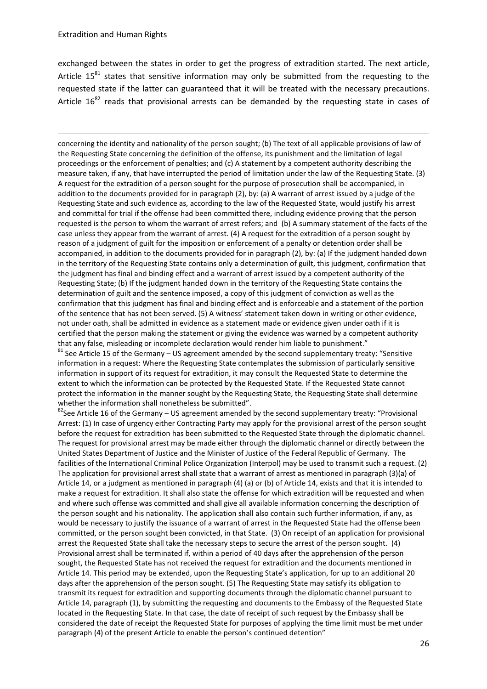-

exchanged between the states in order to get the progress of extradition started. The next article, Article  $15^{81}$  states that sensitive information may only be submitted from the requesting to the requested state if the latter can guaranteed that it will be treated with the necessary precautions. Article  $16^{82}$  reads that provisional arrests can be demanded by the requesting state in cases of

concerning the identity and nationality of the person sought; (b) The text of all applicable provisions of law of the Requesting State concerning the definition of the offense, its punishment and the limitation of legal proceedings or the enforcement of penalties; and (c) A statement by a competent authority describing the measure taken, if any, that have interrupted the period of limitation under the law of the Requesting State. (3) A request for the extradition of a person sought for the purpose of prosecution shall be accompanied, in addition to the documents provided for in paragraph (2), by: (a) A warrant of arrest issued by a judge of the Requesting State and such evidence as, according to the law of the Requested State, would justify his arrest and committal for trial if the offense had been committed there, including evidence proving that the person requested is the person to whom the warrant of arrest refers; and (b) A summary statement of the facts of the case unless they appear from the warrant of arrest. (4) A request for the extradition of a person sought by reason of a judgment of guilt for the imposition or enforcement of a penalty or detention order shall be accompanied, in addition to the documents provided for in paragraph (2), by: (a) If the judgment handed down in the territory of the Requesting State contains only a determination of guilt, this judgment, confirmation that the judgment has final and binding effect and a warrant of arrest issued by a competent authority of the Requesting State; (b) If the judgment handed down in the territory of the Requesting State contains the determination of guilt and the sentence imposed, a copy of this judgment of conviction as well as the confirmation that this judgment has final and binding effect and is enforceable and a statement of the portion of the sentence that has not been served. (5) A witness' statement taken down in writing or other evidence, not under oath, shall be admitted in evidence as a statement made or evidence given under oath if it is certified that the person making the statement or giving the evidence was warned by a competent authority that any false, misleading or incomplete declaration would render him liable to punishment."  $81$  See Article 15 of the Germany – US agreement amended by the second supplementary treaty: "Sensitive information in a request: Where the Requesting State contemplates the submission of particularly sensitive information in support of its request for extradition, it may consult the Requested State to determine the extent to which the information can be protected by the Requested State. If the Requested State cannot protect the information in the manner sought by the Requesting State, the Requesting State shall determine whether the information shall nonetheless be submitted".

 $82$ See Article 16 of the Germany – US agreement amended by the second supplementary treaty: "Provisional Arrest: (1) In case of urgency either Contracting Party may apply for the provisional arrest of the person sought before the request for extradition has been submitted to the Requested State through the diplomatic channel. The request for provisional arrest may be made either through the diplomatic channel or directly between the United States Department of Justice and the Minister of Justice of the Federal Republic of Germany. The facilities of the International Criminal Police Organization (Interpol) may be used to transmit such a request. (2) The application for provisional arrest shall state that a warrant of arrest as mentioned in paragraph (3)(a) of Article 14, or a judgment as mentioned in paragraph (4) (a) or (b) of Article 14, exists and that it is intended to make a request for extradition. It shall also state the offense for which extradition will be requested and when and where such offense was committed and shall give all available information concerning the description of the person sought and his nationality. The application shall also contain such further information, if any, as would be necessary to justify the issuance of a warrant of arrest in the Requested State had the offense been committed, or the person sought been convicted, in that State. (3) On receipt of an application for provisional arrest the Requested State shall take the necessary steps to secure the arrest of the person sought. (4) Provisional arrest shall be terminated if, within a period of 40 days after the apprehension of the person sought, the Requested State has not received the request for extradition and the documents mentioned in Article 14. This period may be extended, upon the Requesting State's application, for up to an additional 20 days after the apprehension of the person sought. (5) The Requesting State may satisfy its obligation to transmit its request for extradition and supporting documents through the diplomatic channel pursuant to Article 14, paragraph (1), by submitting the requesting and documents to the Embassy of the Requested State located in the Requesting State. In that case, the date of receipt of such request by the Embassy shall be considered the date of receipt the Requested State for purposes of applying the time limit must be met under paragraph (4) of the present Article to enable the person's continued detention"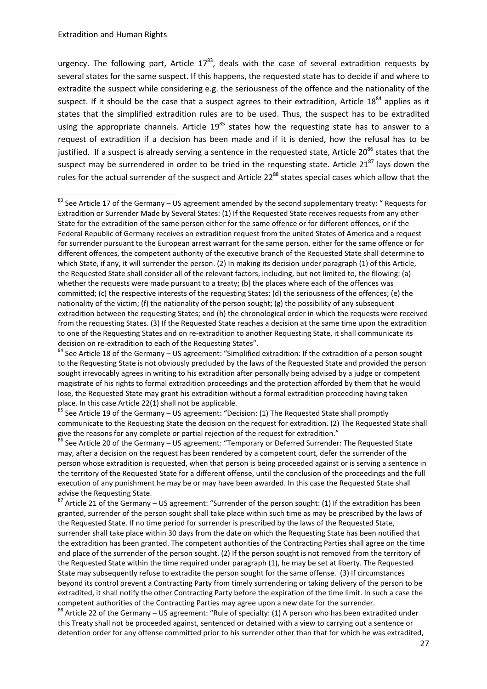l

urgency. The following part, Article  $17^{83}$ , deals with the case of several extradition requests by several states for the same suspect. If this happens, the requested state has to decide if and where to extradite the suspect while considering e.g. the seriousness of the offence and the nationality of the suspect. If it should be the case that a suspect agrees to their extradition, Article 18<sup>84</sup> applies as it states that the simplified extradition rules are to be used. Thus, the suspect has to be extradited using the appropriate channels. Article  $19^{85}$  states how the requesting state has to answer to a request of extradition if a decision has been made and if it is denied, how the refusal has to be justified. If a suspect is already serving a sentence in the requested state, Article 20<sup>86</sup> states that the suspect may be surrendered in order to be tried in the requesting state. Article  $21^{87}$  lays down the rules for the actual surrender of the suspect and Article 22<sup>88</sup> states special cases which allow that the

 $83$  See Article 17 of the Germany – US agreement amended by the second supplementary treaty: " Requests for Extradition or Surrender Made by Several States: (1) If the Requested State receives requests from any other State for the extradition of the same person either for the same offence or for different offences, or if the Federal Republic of Germany receives an extradition request from the united States of America and a request for surrender pursuant to the European arrest warrant for the same person, either for the same offence or for different offences, the competent authority of the executive branch of the Requested State shall determine to which State, if any, it will surrender the person. (2) In making its decision under paragraph (1) of this Article, the Requested State shall consider all of the relevant factors, including, but not limited to, the fllowing: (a) whether the requests were made pursuant to a treaty; (b) the places where each of the offences was committed; (c) the respective interests of the requesting States; (d) the seriousness of the offences; (e) the nationality of the victim; (f) the nationality of the person sought; (g) the possibility of any subsequent extradition between the requesting States; and (h) the chronological order in which the requests were received from the requesting States. (3) If the Requested State reaches a decision at the same time upon the extradition to one of the Requesting States and on re-extradition to another Requesting State, it shall communicate its decision on re-extradition to each of the Requesting States".

 $84$  See Article 18 of the Germany – US agreement: "Simplified extradition: If the extradition of a person sought to the Requesting State is not obviously precluded by the laws of the Requested State and provided the person sought irrevocably agrees in writing to his extradition after personally being advised by a judge or competent magistrate of his rights to formal extradition proceedings and the protection afforded by them that he would lose, the Requested State may grant his extradition without a formal extradition proceeding having taken place. In this case Article 22(1) shall not be applicable.

<sup>85</sup> See Article 19 of the Germany – US agreement: "Decision: (1) The Requested State shall promptly communicate to the Requesting State the decision on the request for extradition. (2) The Requested State shall give the reasons for any complete or partial rejection of the request for extradition."

 $\frac{86}{36}$  See Article 20 of the Germany – US agreement: "Temporary or Deferred Surrender: The Requested State may, after a decision on the request has been rendered by a competent court, defer the surrender of the person whose extradition is requested, when that person is being proceeded against or is serving a sentence in the territory of the Requested State for a different offense, until the conclusion of the proceedings and the full execution of any punishment he may be or may have been awarded. In this case the Requested State shall advise the Requesting State.

 $87$  Article 21 of the Germany – US agreement: "Surrender of the person sought: (1) If the extradition has been granted, surrender of the person sought shall take place within such time as may be prescribed by the laws of the Requested State. If no time period for surrender is prescribed by the laws of the Requested State, surrender shall take place within 30 days from the date on which the Requesting State has been notified that the extradition has been granted. The competent authorities of the Contracting Parties shall agree on the time and place of the surrender of the person sought. (2) If the person sought is not removed from the territory of the Requested State within the time required under paragraph (1), he may be set at liberty. The Requested State may subsequently refuse to extradite the person sought for the same offense. (3) If circumstances beyond its control prevent a Contracting Party from timely surrendering or taking delivery of the person to be extradited, it shall notify the other Contracting Party before the expiration of the time limit. In such a case the competent authorities of the Contracting Parties may agree upon a new date for the surrender.

 $88$  Article 22 of the Germany – US agreement: "Rule of specialty: (1) A person who has been extradited under this Treaty shall not be proceeded against, sentenced or detained with a view to carrying out a sentence or detention order for any offense committed prior to his surrender other than that for which he was extradited,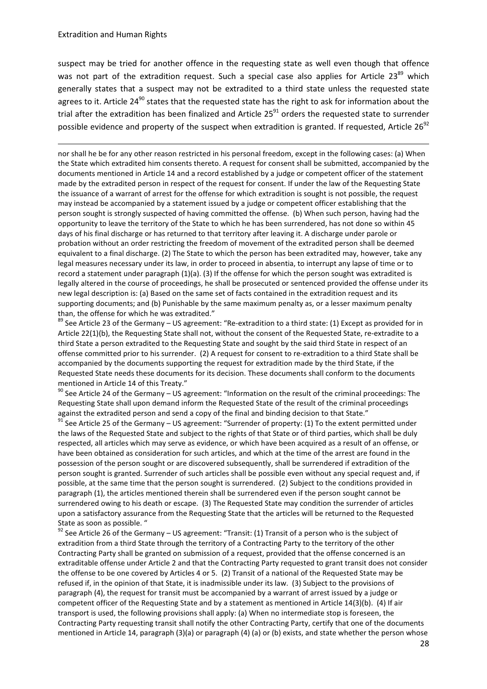.<br>-

suspect may be tried for another offence in the requesting state as well even though that offence was not part of the extradition request. Such a special case also applies for Article 23<sup>89</sup> which generally states that a suspect may not be extradited to a third state unless the requested state agrees to it. Article  $24^{90}$  states that the requested state has the right to ask for information about the trial after the extradition has been finalized and Article  $25<sup>91</sup>$  orders the requested state to surrender possible evidence and property of the suspect when extradition is granted. If requested, Article  $26^{92}$ 

nor shall he be for any other reason restricted in his personal freedom, except in the following cases: (a) When the State which extradited him consents thereto. A request for consent shall be submitted, accompanied by the documents mentioned in Article 14 and a record established by a judge or competent officer of the statement made by the extradited person in respect of the request for consent. If under the law of the Requesting State the issuance of a warrant of arrest for the offense for which extradition is sought is not possible, the request may instead be accompanied by a statement issued by a judge or competent officer establishing that the person sought is strongly suspected of having committed the offense. (b) When such person, having had the opportunity to leave the territory of the State to which he has been surrendered, has not done so within 45 days of his final discharge or has returned to that territory after leaving it. A discharge under parole or probation without an order restricting the freedom of movement of the extradited person shall be deemed equivalent to a final discharge. (2) The State to which the person has been extradited may, however, take any legal measures necessary under its law, in order to proceed in absentia, to interrupt any lapse of time or to record a statement under paragraph (1)(a). (3) If the offense for which the person sought was extradited is legally altered in the course of proceedings, he shall be prosecuted or sentenced provided the offense under its new legal description is: (a) Based on the same set of facts contained in the extradition request and its supporting documents; and (b) Punishable by the same maximum penalty as, or a lesser maximum penalty than, the offense for which he was extradited."

 $89$  See Article 23 of the Germany – US agreement: "Re-extradition to a third state: (1) Except as provided for in Article 22(1)(b), the Requesting State shall not, without the consent of the Requested State, re-extradite to a third State a person extradited to the Requesting State and sought by the said third State in respect of an offense committed prior to his surrender. (2) A request for consent to re-extradition to a third State shall be accompanied by the documents supporting the request for extradition made by the third State, if the Requested State needs these documents for its decision. These documents shall conform to the documents mentioned in Article 14 of this Treaty."

 $90$  See Article 24 of the Germany – US agreement: "Information on the result of the criminal proceedings: The Requesting State shall upon demand inform the Requested State of the result of the criminal proceedings against the extradited person and send a copy of the final and binding decision to that State."

 $91$  See Article 25 of the Germany – US agreement: "Surrender of property: (1) To the extent permitted under the laws of the Requested State and subject to the rights of that State or of third parties, which shall be duly respected, all articles which may serve as evidence, or which have been acquired as a result of an offense, or have been obtained as consideration for such articles, and which at the time of the arrest are found in the possession of the person sought or are discovered subsequently, shall be surrendered if extradition of the person sought is granted. Surrender of such articles shall be possible even without any special request and, if possible, at the same time that the person sought is surrendered. (2) Subject to the conditions provided in paragraph (1), the articles mentioned therein shall be surrendered even if the person sought cannot be surrendered owing to his death or escape. (3) The Requested State may condition the surrender of articles upon a satisfactory assurance from the Requesting State that the articles will be returned to the Requested State as soon as possible. "

 $92$  See Article 26 of the Germany – US agreement: "Transit: (1) Transit of a person who is the subject of extradition from a third State through the territory of a Contracting Party to the territory of the other Contracting Party shall be granted on submission of a request, provided that the offense concerned is an extraditable offense under Article 2 and that the Contracting Party requested to grant transit does not consider the offense to be one covered by Articles 4 or 5. (2) Transit of a national of the Requested State may be refused if, in the opinion of that State, it is inadmissible under its law. (3) Subject to the provisions of paragraph (4), the request for transit must be accompanied by a warrant of arrest issued by a judge or competent officer of the Requesting State and by a statement as mentioned in Article 14(3)(b). (4) If air transport is used, the following provisions shall apply: (a) When no intermediate stop is foreseen, the Contracting Party requesting transit shall notify the other Contracting Party, certify that one of the documents mentioned in Article 14, paragraph (3)(a) or paragraph (4) (a) or (b) exists, and state whether the person whose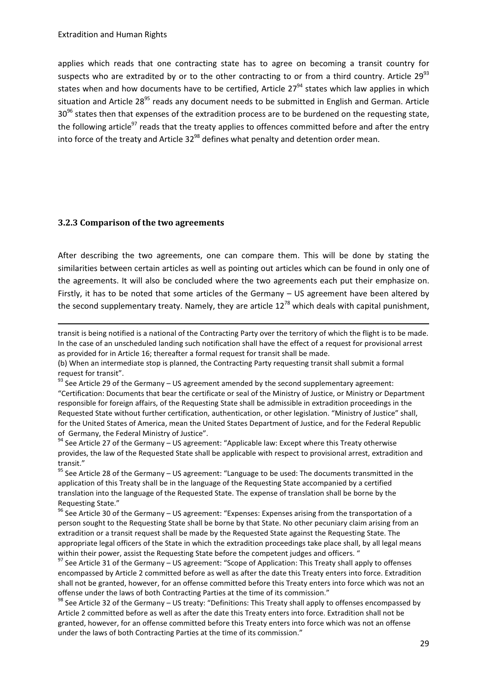applies which reads that one contracting state has to agree on becoming a transit country for suspects who are extradited by or to the other contracting to or from a third country. Article  $29^{93}$ states when and how documents have to be certified. Article  $27<sup>94</sup>$  states which law applies in which situation and Article 28<sup>95</sup> reads any document needs to be submitted in English and German. Article  $30<sup>96</sup>$  states then that expenses of the extradition process are to be burdened on the requesting state, the following article<sup>97</sup> reads that the treaty applies to offences committed before and after the entry into force of the treaty and Article  $32<sup>98</sup>$  defines what penalty and detention order mean.

#### 3.2.3 Comparison of the two agreements

.<br>-

After describing the two agreements, one can compare them. This will be done by stating the similarities between certain articles as well as pointing out articles which can be found in only one of the agreements. It will also be concluded where the two agreements each put their emphasize on. Firstly, it has to be noted that some articles of the Germany – US agreement have been altered by the second supplementary treaty. Namely, they are article  $12^{78}$  which deals with capital punishment,

transit is being notified is a national of the Contracting Party over the territory of which the flight is to be made. In the case of an unscheduled landing such notification shall have the effect of a request for provisional arrest as provided for in Article 16; thereafter a formal request for transit shall be made.

<sup>(</sup>b) When an intermediate stop is planned, the Contracting Party requesting transit shall submit a formal request for transit".

 $93$  See Article 29 of the Germany – US agreement amended by the second supplementary agreement: "Certification: Documents that bear the certificate or seal of the Ministry of Justice, or Ministry or Department responsible for foreign affairs, of the Requesting State shall be admissible in extradition proceedings in the Requested State without further certification, authentication, or other legislation. "Ministry of Justice" shall, for the United States of America, mean the United States Department of Justice, and for the Federal Republic of Germany, the Federal Ministry of Justice".

 $94$  See Article 27 of the Germany – US agreement: "Applicable law: Except where this Treaty otherwise provides, the law of the Requested State shall be applicable with respect to provisional arrest, extradition and transit."

 $95$  See Article 28 of the Germany – US agreement: "Language to be used: The documents transmitted in the application of this Treaty shall be in the language of the Requesting State accompanied by a certified translation into the language of the Requested State. The expense of translation shall be borne by the Requesting State."

<sup>&</sup>lt;sup>96</sup> See Article 30 of the Germany – US agreement: "Expenses: Expenses arising from the transportation of a person sought to the Requesting State shall be borne by that State. No other pecuniary claim arising from an extradition or a transit request shall be made by the Requested State against the Requesting State. The appropriate legal officers of the State in which the extradition proceedings take place shall, by all legal means within their power, assist the Requesting State before the competent judges and officers. "

 $97$  See Article 31 of the Germany – US agreement: "Scope of Application: This Treaty shall apply to offenses encompassed by Article 2 committed before as well as after the date this Treaty enters into force. Extradition shall not be granted, however, for an offense committed before this Treaty enters into force which was not an offense under the laws of both Contracting Parties at the time of its commission."

 $98$  See Article 32 of the Germany – US treaty: "Definitions: This Treaty shall apply to offenses encompassed by Article 2 committed before as well as after the date this Treaty enters into force. Extradition shall not be granted, however, for an offense committed before this Treaty enters into force which was not an offense under the laws of both Contracting Parties at the time of its commission."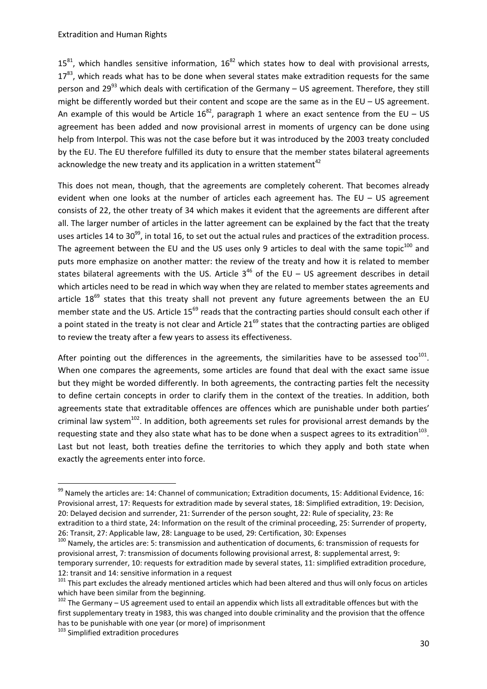$15^{81}$ , which handles sensitive information,  $16^{82}$  which states how to deal with provisional arrests,  $17^{83}$ , which reads what has to be done when several states make extradition requests for the same person and 29 $93$  which deals with certification of the Germany – US agreement. Therefore, they still might be differently worded but their content and scope are the same as in the EU – US agreement. An example of this would be Article  $16^{82}$ , paragraph 1 where an exact sentence from the EU – US agreement has been added and now provisional arrest in moments of urgency can be done using help from Interpol. This was not the case before but it was introduced by the 2003 treaty concluded by the EU. The EU therefore fulfilled its duty to ensure that the member states bilateral agreements acknowledge the new treaty and its application in a written statement<sup>42</sup>

This does not mean, though, that the agreements are completely coherent. That becomes already evident when one looks at the number of articles each agreement has. The EU  $-$  US agreement consists of 22, the other treaty of 34 which makes it evident that the agreements are different after all. The larger number of articles in the latter agreement can be explained by the fact that the treaty uses articles 14 to 30 $^{99}$ , in total 16, to set out the actual rules and practices of the extradition process. The agreement between the EU and the US uses only 9 articles to deal with the same topic $100$  and puts more emphasize on another matter: the review of the treaty and how it is related to member states bilateral agreements with the US. Article  $3^{46}$  of the EU – US agreement describes in detail which articles need to be read in which way when they are related to member states agreements and article  $18^{69}$  states that this treaty shall not prevent any future agreements between the an EU member state and the US. Article 15<sup>69</sup> reads that the contracting parties should consult each other if a point stated in the treaty is not clear and Article  $21^{69}$  states that the contracting parties are obliged to review the treaty after a few years to assess its effectiveness.

After pointing out the differences in the agreements, the similarities have to be assessed too $^{101}$ . When one compares the agreements, some articles are found that deal with the exact same issue but they might be worded differently. In both agreements, the contracting parties felt the necessity to define certain concepts in order to clarify them in the context of the treaties. In addition, both agreements state that extraditable offences are offences which are punishable under both parties' criminal law system $102$ . In addition, both agreements set rules for provisional arrest demands by the requesting state and they also state what has to be done when a suspect agrees to its extradition $^{103}$ . Last but not least, both treaties define the territories to which they apply and both state when exactly the agreements enter into force.

l

 $99$  Namely the articles are: 14: Channel of communication; Extradition documents, 15: Additional Evidence, 16: Provisional arrest, 17: Requests for extradition made by several states, 18: Simplified extradition, 19: Decision, 20: Delayed decision and surrender, 21: Surrender of the person sought, 22: Rule of speciality, 23: Re extradition to a third state, 24: Information on the result of the criminal proceeding, 25: Surrender of property, 26: Transit, 27: Applicable law, 28: Language to be used, 29: Certification, 30: Expenses

<sup>&</sup>lt;sup>100</sup> Namely, the articles are: 5: transmission and authentication of documents, 6: transmission of requests for provisional arrest, 7: transmission of documents following provisional arrest, 8: supplemental arrest, 9: temporary surrender, 10: requests for extradition made by several states, 11: simplified extradition procedure, 12: transit and 14: sensitive information in a request

<sup>&</sup>lt;sup>101</sup> This part excludes the already mentioned articles which had been altered and thus will only focus on articles which have been similar from the beginning.

 $102$  The Germany – US agreement used to entail an appendix which lists all extraditable offences but with the first supplementary treaty in 1983, this was changed into double criminality and the provision that the offence has to be punishable with one year (or more) of imprisonment

<sup>&</sup>lt;sup>103</sup> Simplified extradition procedures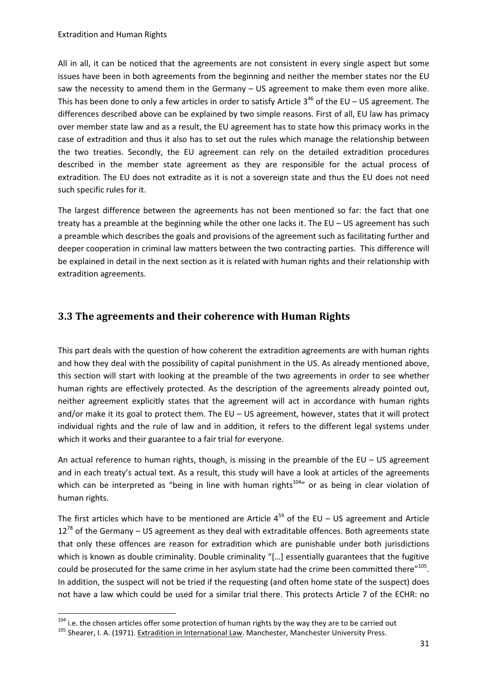All in all, it can be noticed that the agreements are not consistent in every single aspect but some issues have been in both agreements from the beginning and neither the member states nor the EU saw the necessity to amend them in the Germany – US agreement to make them even more alike. This has been done to only a few articles in order to satisfy Article  $3^{46}$  of the EU – US agreement. The differences described above can be explained by two simple reasons. First of all, EU law has primacy over member state law and as a result, the EU agreement has to state how this primacy works in the case of extradition and thus it also has to set out the rules which manage the relationship between the two treaties. Secondly, the EU agreement can rely on the detailed extradition procedures described in the member state agreement as they are responsible for the actual process of extradition. The EU does not extradite as it is not a sovereign state and thus the EU does not need such specific rules for it.

The largest difference between the agreements has not been mentioned so far: the fact that one treaty has a preamble at the beginning while the other one lacks it. The EU – US agreement has such a preamble which describes the goals and provisions of the agreement such as facilitating further and deeper cooperation in criminal law matters between the two contracting parties. This difference will be explained in detail in the next section as it is related with human rights and their relationship with extradition agreements.

### 3.3 The agreements and their coherence with Human Rights

This part deals with the question of how coherent the extradition agreements are with human rights and how they deal with the possibility of capital punishment in the US. As already mentioned above, this section will start with looking at the preamble of the two agreements in order to see whether human rights are effectively protected. As the description of the agreements already pointed out, neither agreement explicitly states that the agreement will act in accordance with human rights and/or make it its goal to protect them. The EU – US agreement, however, states that it will protect individual rights and the rule of law and in addition, it refers to the different legal systems under which it works and their guarantee to a fair trial for everyone.

An actual reference to human rights, though, is missing in the preamble of the EU – US agreement and in each treaty's actual text. As a result, this study will have a look at articles of the agreements which can be interpreted as "being in line with human rights<sup>104</sup>" or as being in clear violation of human rights.

The first articles which have to be mentioned are Article  $4^{59}$  of the EU – US agreement and Article  $12^{78}$  of the Germany – US agreement as they deal with extraditable offences. Both agreements state that only these offences are reason for extradition which are punishable under both jurisdictions which is known as double criminality. Double criminality "[...] essentially guarantees that the fugitive could be prosecuted for the same crime in her asylum state had the crime been committed there"<sup>105</sup>. In addition, the suspect will not be tried if the requesting (and often home state of the suspect) does not have a law which could be used for a similar trial there. This protects Article 7 of the ECHR: no

 $\overline{a}$ 

<sup>&</sup>lt;sup>104</sup> i.e. the chosen articles offer some protection of human rights by the way they are to be carried out

<sup>&</sup>lt;sup>105</sup> Shearer, I. A. (1971). Extradition in International Law. Manchester, Manchester University Press.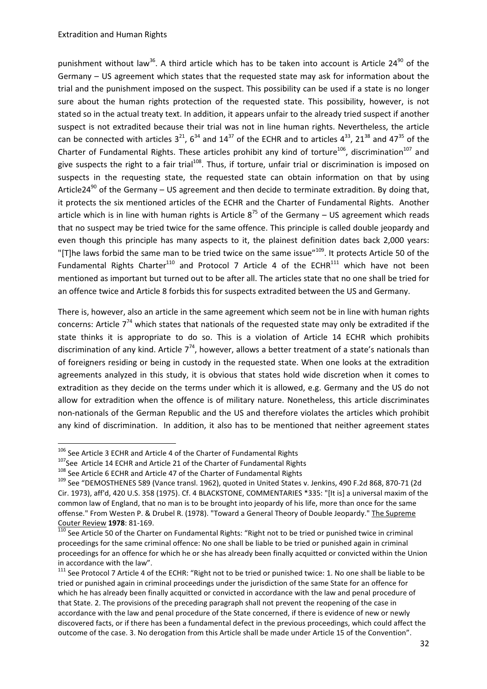punishment without law<sup>36</sup>. A third article which has to be taken into account is Article 24<sup>90</sup> of the Germany – US agreement which states that the requested state may ask for information about the trial and the punishment imposed on the suspect. This possibility can be used if a state is no longer sure about the human rights protection of the requested state. This possibility, however, is not stated so in the actual treaty text. In addition, it appears unfair to the already tried suspect if another suspect is not extradited because their trial was not in line human rights. Nevertheless, the article can be connected with articles  $3^{21}$ ,  $6^{34}$  and  $14^{37}$  of the ECHR and to articles  $4^{33}$ , 21<sup>38</sup> and 47<sup>35</sup> of the Charter of Fundamental Rights. These articles prohibit any kind of torture<sup>106</sup>, discrimination<sup>107</sup> and give suspects the right to a fair trial<sup>108</sup>. Thus, if torture, unfair trial or discrimination is imposed on suspects in the requesting state, the requested state can obtain information on that by using Article24 $^{90}$  of the Germany – US agreement and then decide to terminate extradition. By doing that, it protects the six mentioned articles of the ECHR and the Charter of Fundamental Rights. Another article which is in line with human rights is Article  $8^{75}$  of the Germany – US agreement which reads that no suspect may be tried twice for the same offence. This principle is called double jeopardy and even though this principle has many aspects to it, the plainest definition dates back 2,000 years: "[T]he laws forbid the same man to be tried twice on the same issue"<sup>109</sup>. It protects Article 50 of the Fundamental Rights Charter<sup>110</sup> and Protocol 7 Article 4 of the ECHR<sup>111</sup> which have not been mentioned as important but turned out to be after all. The articles state that no one shall be tried for an offence twice and Article 8 forbids this for suspects extradited between the US and Germany.

There is, however, also an article in the same agreement which seem not be in line with human rights concerns: Article  $7<sup>74</sup>$  which states that nationals of the requested state may only be extradited if the state thinks it is appropriate to do so. This is a violation of Article 14 ECHR which prohibits discrimination of any kind. Article  $7^{74}$ , however, allows a better treatment of a state's nationals than of foreigners residing or being in custody in the requested state. When one looks at the extradition agreements analyzed in this study, it is obvious that states hold wide discretion when it comes to extradition as they decide on the terms under which it is allowed, e.g. Germany and the US do not allow for extradition when the offence is of military nature. Nonetheless, this article discriminates non-nationals of the German Republic and the US and therefore violates the articles which prohibit any kind of discrimination. In addition, it also has to be mentioned that neither agreement states

l

<sup>&</sup>lt;sup>106</sup> See Article 3 ECHR and Article 4 of the Charter of Fundamental Rights

<sup>&</sup>lt;sup>107</sup>See Article 14 ECHR and Article 21 of the Charter of Fundamental Rights

 $108$  See Article 6 ECHR and Article 47 of the Charter of Fundamental Rights

<sup>109</sup> See "DEMOSTHENES 589 (Vance transl. 1962), quoted in United States v. Jenkins, 490 F.2d 868, 870-71 (2d Cir. 1973), aff'd, 420 U.S. 358 (1975). Cf. 4 BLACKSTONE, COMMENTARIES \*335: "[It is] a universal maxim of the common law of England, that no man is to be brought into jeopardy of his life, more than once for the same offense." From Westen P. & Drubel R. (1978). "Toward a General Theory of Double Jeopardy." The Supreme Couter Review 1978: 81-169.

<sup>&</sup>lt;sup>110</sup> See Article 50 of the Charter on Fundamental Rights: "Right not to be tried or punished twice in criminal proceedings for the same criminal offence: No one shall be liable to be tried or punished again in criminal proceedings for an offence for which he or she has already been finally acquitted or convicted within the Union in accordance with the law".

 $111$  See Protocol 7 Article 4 of the ECHR: "Right not to be tried or punished twice: 1. No one shall be liable to be tried or punished again in criminal proceedings under the jurisdiction of the same State for an offence for which he has already been finally acquitted or convicted in accordance with the law and penal procedure of that State. 2. The provisions of the preceding paragraph shall not prevent the reopening of the case in accordance with the law and penal procedure of the State concerned, if there is evidence of new or newly discovered facts, or if there has been a fundamental defect in the previous proceedings, which could affect the outcome of the case. 3. No derogation from this Article shall be made under Article 15 of the Convention".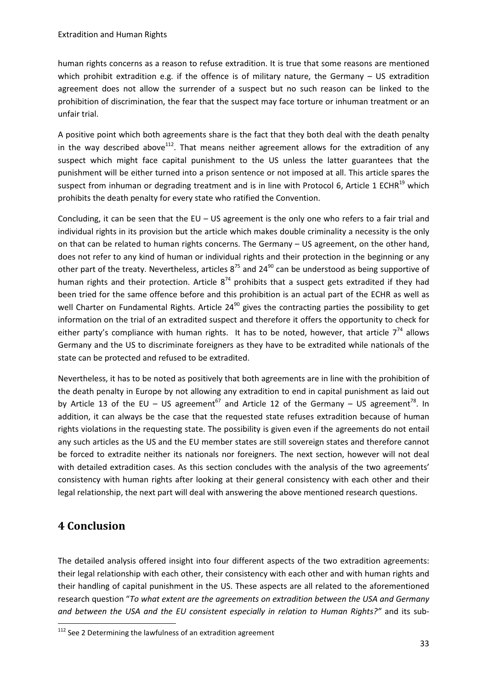human rights concerns as a reason to refuse extradition. It is true that some reasons are mentioned which prohibit extradition e.g. if the offence is of military nature, the Germany - US extradition agreement does not allow the surrender of a suspect but no such reason can be linked to the prohibition of discrimination, the fear that the suspect may face torture or inhuman treatment or an unfair trial.

A positive point which both agreements share is the fact that they both deal with the death penalty in the way described above<sup>112</sup>. That means neither agreement allows for the extradition of any suspect which might face capital punishment to the US unless the latter guarantees that the punishment will be either turned into a prison sentence or not imposed at all. This article spares the suspect from inhuman or degrading treatment and is in line with Protocol 6, Article 1 ECHR<sup>19</sup> which prohibits the death penalty for every state who ratified the Convention.

Concluding, it can be seen that the EU – US agreement is the only one who refers to a fair trial and individual rights in its provision but the article which makes double criminality a necessity is the only on that can be related to human rights concerns. The Germany – US agreement, on the other hand, does not refer to any kind of human or individual rights and their protection in the beginning or any other part of the treaty. Nevertheless, articles  $8^{75}$  and  $24^{90}$  can be understood as being supportive of human rights and their protection. Article  $8^{74}$  prohibits that a suspect gets extradited if they had been tried for the same offence before and this prohibition is an actual part of the ECHR as well as well Charter on Fundamental Rights. Article 24<sup>90</sup> gives the contracting parties the possibility to get information on the trial of an extradited suspect and therefore it offers the opportunity to check for either party's compliance with human rights. It has to be noted, however, that article  $7^{74}$  allows Germany and the US to discriminate foreigners as they have to be extradited while nationals of the state can be protected and refused to be extradited.

Nevertheless, it has to be noted as positively that both agreements are in line with the prohibition of the death penalty in Europe by not allowing any extradition to end in capital punishment as laid out by Article 13 of the EU – US agreement<sup>67</sup> and Article 12 of the Germany – US agreement<sup>78</sup>. In addition, it can always be the case that the requested state refuses extradition because of human rights violations in the requesting state. The possibility is given even if the agreements do not entail any such articles as the US and the EU member states are still sovereign states and therefore cannot be forced to extradite neither its nationals nor foreigners. The next section, however will not deal with detailed extradition cases. As this section concludes with the analysis of the two agreements' consistency with human rights after looking at their general consistency with each other and their legal relationship, the next part will deal with answering the above mentioned research questions.

# 4 Conclusion

l

The detailed analysis offered insight into four different aspects of the two extradition agreements: their legal relationship with each other, their consistency with each other and with human rights and their handling of capital punishment in the US. These aspects are all related to the aforementioned research question "To what extent are the agreements on extradition between the USA and Germany and between the USA and the EU consistent especially in relation to Human Rights?" and its sub-

 $112$  See 2 Determining the lawfulness of an extradition agreement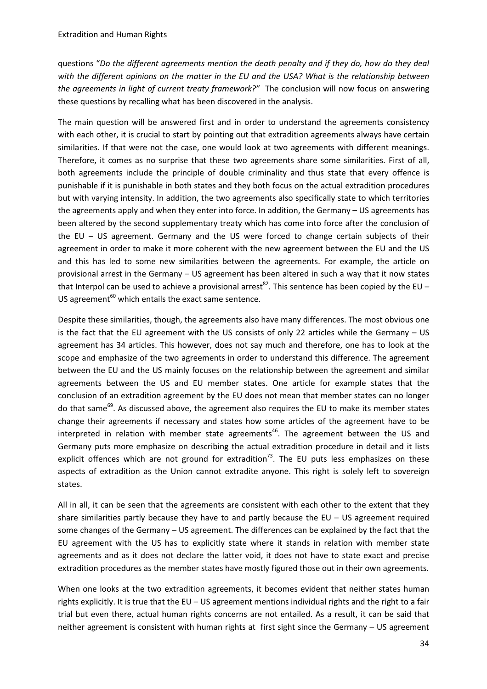questions "Do the different agreements mention the death penalty and if they do, how do they deal with the different opinions on the matter in the EU and the USA? What is the relationship between the agreements in light of current treaty framework?" The conclusion will now focus on answering these questions by recalling what has been discovered in the analysis.

The main question will be answered first and in order to understand the agreements consistency with each other, it is crucial to start by pointing out that extradition agreements always have certain similarities. If that were not the case, one would look at two agreements with different meanings. Therefore, it comes as no surprise that these two agreements share some similarities. First of all, both agreements include the principle of double criminality and thus state that every offence is punishable if it is punishable in both states and they both focus on the actual extradition procedures but with varying intensity. In addition, the two agreements also specifically state to which territories the agreements apply and when they enter into force. In addition, the Germany – US agreements has been altered by the second supplementary treaty which has come into force after the conclusion of the EU – US agreement. Germany and the US were forced to change certain subjects of their agreement in order to make it more coherent with the new agreement between the EU and the US and this has led to some new similarities between the agreements. For example, the article on provisional arrest in the Germany – US agreement has been altered in such a way that it now states that Interpol can be used to achieve a provisional arrest<sup>82</sup>. This sentence has been copied by the EU – US agreement $^{60}$  which entails the exact same sentence.

Despite these similarities, though, the agreements also have many differences. The most obvious one is the fact that the EU agreement with the US consists of only 22 articles while the Germany – US agreement has 34 articles. This however, does not say much and therefore, one has to look at the scope and emphasize of the two agreements in order to understand this difference. The agreement between the EU and the US mainly focuses on the relationship between the agreement and similar agreements between the US and EU member states. One article for example states that the conclusion of an extradition agreement by the EU does not mean that member states can no longer do that same<sup>69</sup>. As discussed above, the agreement also requires the EU to make its member states change their agreements if necessary and states how some articles of the agreement have to be interpreted in relation with member state agreements<sup>46</sup>. The agreement between the US and Germany puts more emphasize on describing the actual extradition procedure in detail and it lists explicit offences which are not ground for extradition<sup>73</sup>. The EU puts less emphasizes on these aspects of extradition as the Union cannot extradite anyone. This right is solely left to sovereign states.

All in all, it can be seen that the agreements are consistent with each other to the extent that they share similarities partly because they have to and partly because the  $EU - US$  agreement required some changes of the Germany – US agreement. The differences can be explained by the fact that the EU agreement with the US has to explicitly state where it stands in relation with member state agreements and as it does not declare the latter void, it does not have to state exact and precise extradition procedures as the member states have mostly figured those out in their own agreements.

When one looks at the two extradition agreements, it becomes evident that neither states human rights explicitly. It is true that the EU – US agreement mentions individual rights and the right to a fair trial but even there, actual human rights concerns are not entailed. As a result, it can be said that neither agreement is consistent with human rights at first sight since the Germany – US agreement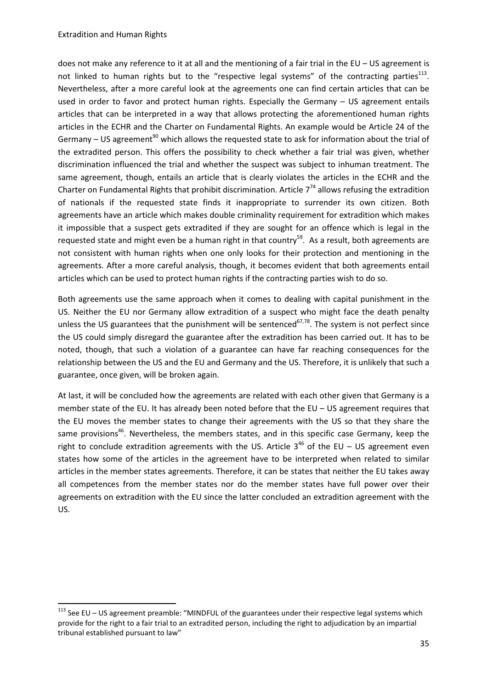l

does not make any reference to it at all and the mentioning of a fair trial in the EU – US agreement is not linked to human rights but to the "respective legal systems" of the contracting parties $^{113}$ . Nevertheless, after a more careful look at the agreements one can find certain articles that can be used in order to favor and protect human rights. Especially the Germany – US agreement entails articles that can be interpreted in a way that allows protecting the aforementioned human rights articles in the ECHR and the Charter on Fundamental Rights. An example would be Article 24 of the Germany – US agreement<sup>90</sup> which allows the requested state to ask for information about the trial of the extradited person. This offers the possibility to check whether a fair trial was given, whether discrimination influenced the trial and whether the suspect was subject to inhuman treatment. The same agreement, though, entails an article that is clearly violates the articles in the ECHR and the Charter on Fundamental Rights that prohibit discrimination. Article  $7<sup>74</sup>$  allows refusing the extradition of nationals if the requested state finds it inappropriate to surrender its own citizen. Both agreements have an article which makes double criminality requirement for extradition which makes it impossible that a suspect gets extradited if they are sought for an offence which is legal in the requested state and might even be a human right in that country<sup>59</sup>. As a result, both agreements are not consistent with human rights when one only looks for their protection and mentioning in the agreements. After a more careful analysis, though, it becomes evident that both agreements entail articles which can be used to protect human rights if the contracting parties wish to do so.

Both agreements use the same approach when it comes to dealing with capital punishment in the US. Neither the EU nor Germany allow extradition of a suspect who might face the death penalty unless the US guarantees that the punishment will be sentenced<sup>67,78</sup>. The system is not perfect since the US could simply disregard the guarantee after the extradition has been carried out. It has to be noted, though, that such a violation of a guarantee can have far reaching consequences for the relationship between the US and the EU and Germany and the US. Therefore, it is unlikely that such a guarantee, once given, will be broken again.

At last, it will be concluded how the agreements are related with each other given that Germany is a member state of the EU. It has already been noted before that the EU – US agreement requires that the EU moves the member states to change their agreements with the US so that they share the same provisions<sup>46</sup>. Nevertheless, the members states, and in this specific case Germany, keep the right to conclude extradition agreements with the US. Article  $3^{46}$  of the EU – US agreement even states how some of the articles in the agreement have to be interpreted when related to similar articles in the member states agreements. Therefore, it can be states that neither the EU takes away all competences from the member states nor do the member states have full power over their agreements on extradition with the EU since the latter concluded an extradition agreement with the US.

 $113$  See EU – US agreement preamble: "MINDFUL of the guarantees under their respective legal systems which provide for the right to a fair trial to an extradited person, including the right to adjudication by an impartial tribunal established pursuant to law"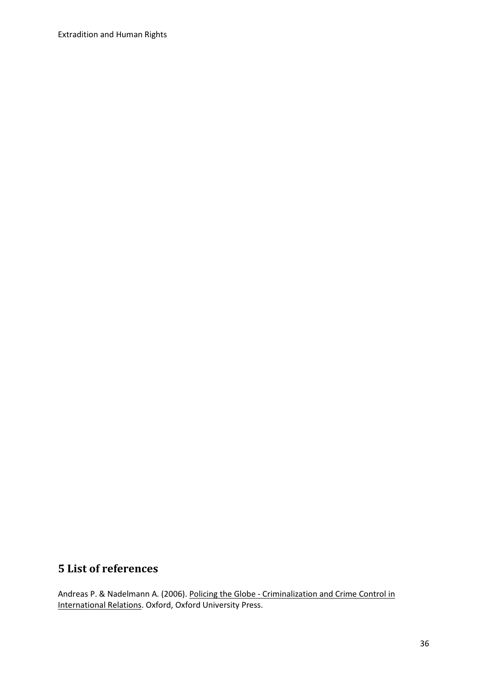Extradition and Human Rights

# 5 List of references

Andreas P. & Nadelmann A. (2006). Policing the Globe - Criminalization and Crime Control in International Relations. Oxford, Oxford University Press.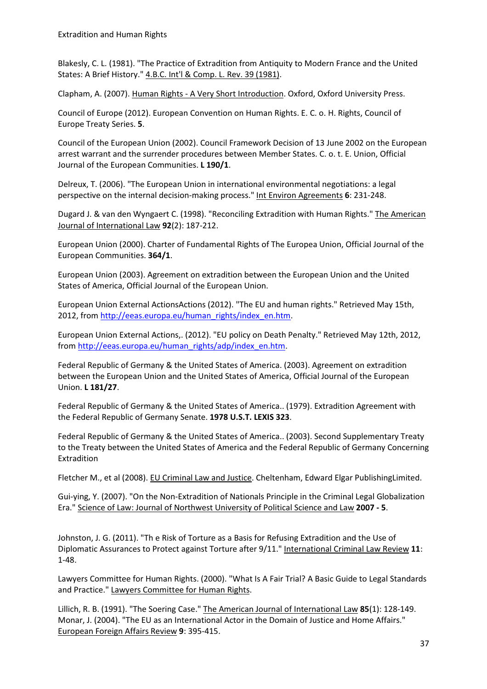Blakesly, C. L. (1981). "The Practice of Extradition from Antiquity to Modern France and the United States: A Brief History." 4.B.C. Int'l & Comp. L. Rev. 39 (1981).

Clapham, A. (2007). Human Rights - A Very Short Introduction. Oxford, Oxford University Press.

Council of Europe (2012). European Convention on Human Rights. E. C. o. H. Rights, Council of Europe Treaty Series. 5.

Council of the European Union (2002). Council Framework Decision of 13 June 2002 on the European arrest warrant and the surrender procedures between Member States. C. o. t. E. Union, Official Journal of the European Communities. L 190/1.

Delreux, T. (2006). "The European Union in international environmental negotiations: a legal perspective on the internal decision-making process." Int Environ Agreements 6: 231-248.

Dugard J. & van den Wyngaert C. (1998). "Reconciling Extradition with Human Rights." The American Journal of International Law 92(2): 187-212.

European Union (2000). Charter of Fundamental Rights of The Europea Union, Official Journal of the European Communities. 364/1.

European Union (2003). Agreement on extradition between the European Union and the United States of America, Official Journal of the European Union.

European Union External ActionsActions (2012). "The EU and human rights." Retrieved May 15th, 2012, from http://eeas.europa.eu/human\_rights/index\_en.htm.

European Union External Actions,. (2012). "EU policy on Death Penalty." Retrieved May 12th, 2012, from http://eeas.europa.eu/human\_rights/adp/index\_en.htm.

Federal Republic of Germany & the United States of America. (2003). Agreement on extradition between the European Union and the United States of America, Official Journal of the European Union. L 181/27.

Federal Republic of Germany & the United States of America.. (1979). Extradition Agreement with the Federal Republic of Germany Senate. 1978 U.S.T. LEXIS 323.

Federal Republic of Germany & the United States of America.. (2003). Second Supplementary Treaty to the Treaty between the United States of America and the Federal Republic of Germany Concerning Extradition

Fletcher M., et al (2008). EU Criminal Law and Justice. Cheltenham, Edward Elgar PublishingLimited.

Gui-ying, Y. (2007). "On the Non-Extradition of Nationals Principle in the Criminal Legal Globalization Era." Science of Law: Journal of Northwest University of Political Science and Law 2007 - 5.

Johnston, J. G. (2011). "Th e Risk of Torture as a Basis for Refusing Extradition and the Use of Diplomatic Assurances to Protect against Torture after 9/11." International Criminal Law Review 11: 1-48.

Lawyers Committee for Human Rights. (2000). "What Is A Fair Trial? A Basic Guide to Legal Standards and Practice." Lawyers Committee for Human Rights.

Lillich, R. B. (1991). "The Soering Case." The American Journal of International Law 85(1): 128-149. Monar, J. (2004). "The EU as an International Actor in the Domain of Justice and Home Affairs." European Foreign Affairs Review 9: 395-415.